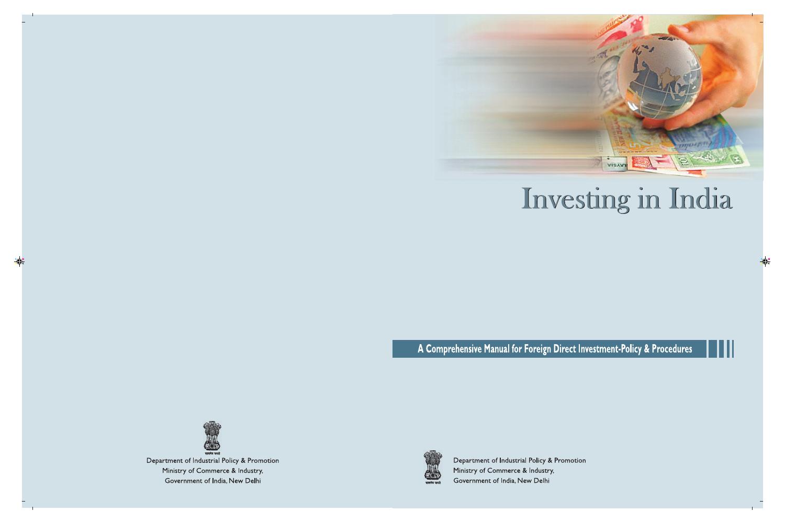

# Investing in India

A Comprehensive Manual for Foreign Direct Investment-Policy & Procedures



Department of Industrial Policy & Promotion Ministry of Commerce & Industry, Government of India, New Delhi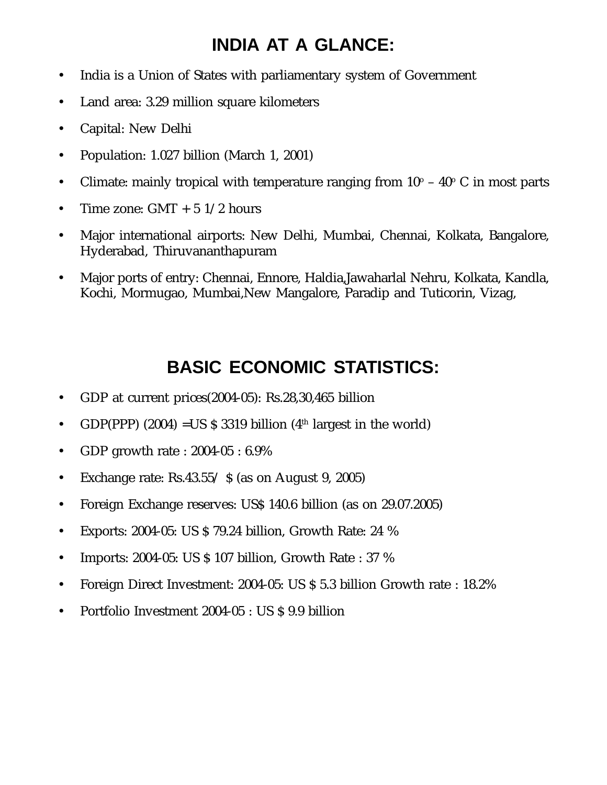## **INDIA AT A GLANCE:**

- India is a Union of States with parliamentary system of Government
- Land area: 3.29 million square kilometers
- Capital: New Delhi
- Population: 1.027 billion (March 1, 2001)
- Climate: mainly tropical with temperature ranging from  $10^{\circ}$   $40^{\circ}$  C in most parts
- Time zone:  $GMT + 5$  1/2 hours
- Major international airports: New Delhi, Mumbai, Chennai, Kolkata, Bangalore, Hyderabad, Thiruvananthapuram
- Major ports of entry: Chennai, Ennore, Haldia,Jawaharlal Nehru, Kolkata, Kandla, Kochi, Mormugao, Mumbai,New Mangalore, Paradip and Tuticorin, Vizag,

## **BASIC ECONOMIC STATISTICS:**

- GDP at current prices(2004-05): Rs.28,30,465 billion
- GDP(PPP) (2004) = US  $\$$  3319 billion (4<sup>th</sup> largest in the world)
- GDP growth rate : 2004-05 : 6.9%
- Exchange rate: Rs.43.55/ \$ (as on August 9, 2005)
- Foreign Exchange reserves: US\$ 140.6 billion (as on 29.07.2005)
- Exports: 2004-05: US \$ 79.24 billion, Growth Rate: 24 %
- Imports: 2004-05: US \$ 107 billion, Growth Rate : 37 %
- Foreign Direct Investment: 2004-05: US \$ 5.3 billion Growth rate : 18.2%
- Portfolio Investment 2004-05 : US \$ 9.9 billion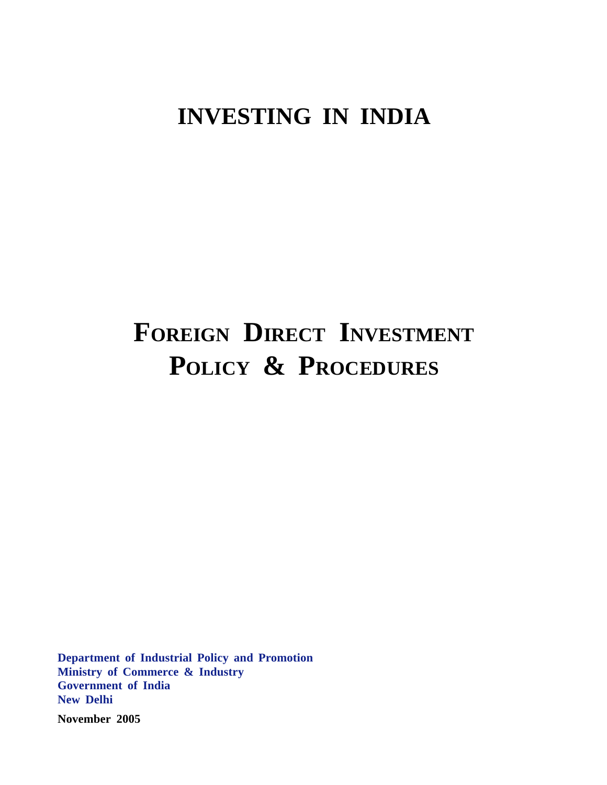## **INVESTING IN INDIA**

## **FOREIGN DIRECT INVESTMENT POLICY & PROCEDURES**

**Department of Industrial Policy and Promotion Ministry of Commerce & Industry Government of India New Delhi November 2005**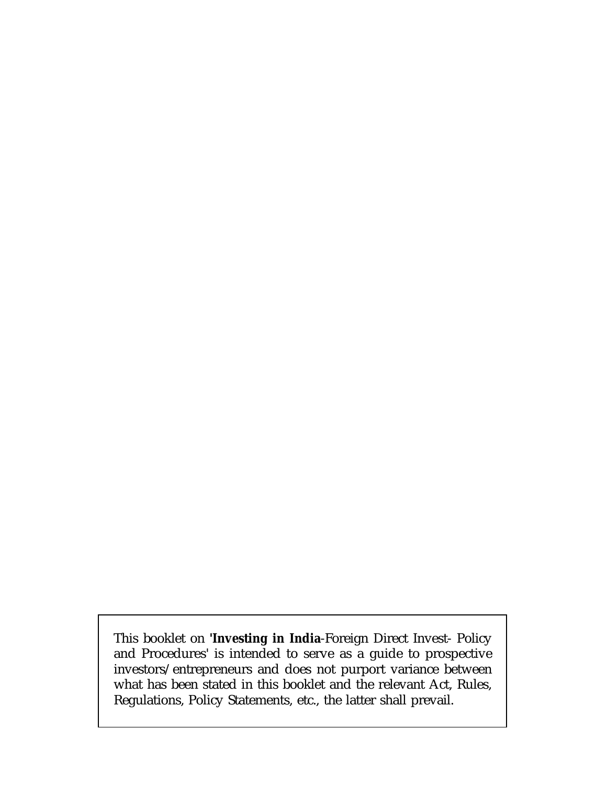This booklet on **'Investing in India**-Foreign Direct Invest- Policy and Procedures' is intended to serve as a guide to prospective investors/entrepreneurs and does not purport variance between what has been stated in this booklet and the relevant Act, Rules, Regulations, Policy Statements, etc., the latter shall prevail.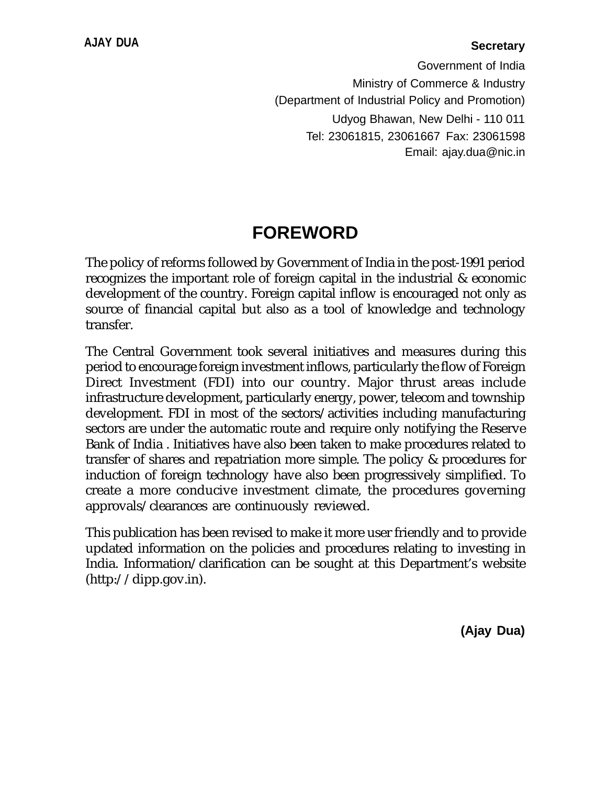### **Secretary**

Government of India Ministry of Commerce & Industry (Department of Industrial Policy and Promotion) Udyog Bhawan, New Delhi - 110 011 Tel: 23061815, 23061667 Fax: 23061598 Email: ajay.dua@nic.in

## **FOREWORD**

The policy of reforms followed by Government of India in the post-1991 period recognizes the important role of foreign capital in the industrial & economic development of the country. Foreign capital inflow is encouraged not only as source of financial capital but also as a tool of knowledge and technology transfer.

The Central Government took several initiatives and measures during this period to encourage foreign investment inflows, particularly the flow of Foreign Direct Investment (FDI) into our country. Major thrust areas include infrastructure development, particularly energy, power, telecom and township development. FDI in most of the sectors/activities including manufacturing sectors are under the automatic route and require only notifying the Reserve Bank of India . Initiatives have also been taken to make procedures related to transfer of shares and repatriation more simple. The policy & procedures for induction of foreign technology have also been progressively simplified. To create a more conducive investment climate, the procedures governing approvals/clearances are continuously reviewed.

This publication has been revised to make it more user friendly and to provide updated information on the policies and procedures relating to investing in India. Information/clarification can be sought at this Department's website (http://dipp.gov.in).

**(Ajay Dua)**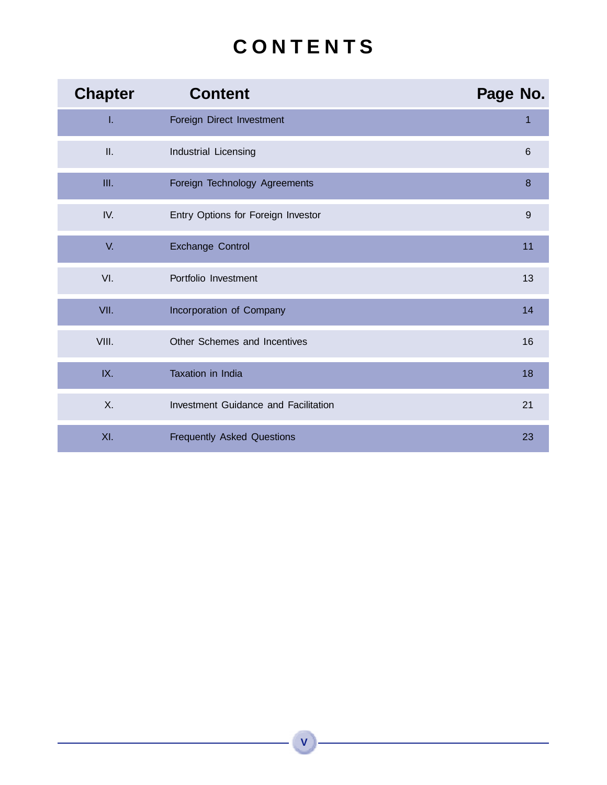## **CONTENTS**

| <b>Chapter</b> | <b>Content</b>                       | Page No. |
|----------------|--------------------------------------|----------|
| I.             | Foreign Direct Investment            | 1        |
| ΙΙ.            | Industrial Licensing                 | $\,6$    |
| Ш.             | Foreign Technology Agreements        | 8        |
| IV.            | Entry Options for Foreign Investor   | 9        |
| V.             | Exchange Control                     | 11       |
| VI.            | Portfolio Investment                 | 13       |
| VII.           | Incorporation of Company             | 14       |
| VIII.          | Other Schemes and Incentives         | 16       |
| IX.            | Taxation in India                    | 18       |
| X.             | Investment Guidance and Facilitation | 21       |
| XI.            | <b>Frequently Asked Questions</b>    | 23       |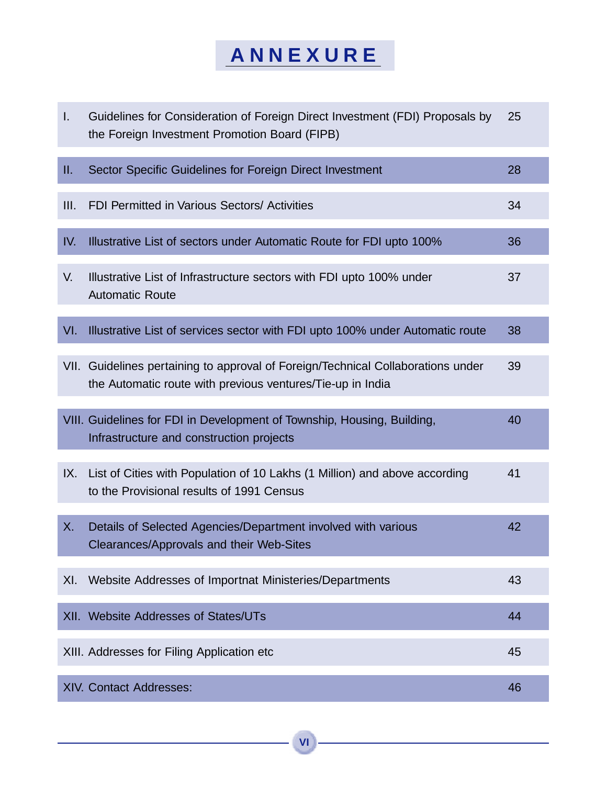## **ANNEXURE**

| I.   | Guidelines for Consideration of Foreign Direct Investment (FDI) Proposals by<br>the Foreign Investment Promotion Board (FIPB)                  | 25 |
|------|------------------------------------------------------------------------------------------------------------------------------------------------|----|
| П.   | Sector Specific Guidelines for Foreign Direct Investment                                                                                       | 28 |
| III. | FDI Permitted in Various Sectors/ Activities                                                                                                   | 34 |
| IV.  | Illustrative List of sectors under Automatic Route for FDI upto 100%                                                                           | 36 |
| V.   | Illustrative List of Infrastructure sectors with FDI upto 100% under<br><b>Automatic Route</b>                                                 | 37 |
| VI.  | Illustrative List of services sector with FDI upto 100% under Automatic route                                                                  | 38 |
|      | VII. Guidelines pertaining to approval of Foreign/Technical Collaborations under<br>the Automatic route with previous ventures/Tie-up in India | 39 |
|      | VIII. Guidelines for FDI in Development of Township, Housing, Building,<br>Infrastructure and construction projects                            | 40 |
| IX.  | List of Cities with Population of 10 Lakhs (1 Million) and above according<br>to the Provisional results of 1991 Census                        | 41 |
| X.   | Details of Selected Agencies/Department involved with various<br>Clearances/Approvals and their Web-Sites                                      | 42 |
| XI.  | Website Addresses of Importnat Ministeries/Departments                                                                                         | 43 |
|      | XII. Website Addresses of States/UTs                                                                                                           | 44 |
|      | XIII. Addresses for Filing Application etc                                                                                                     | 45 |
|      | <b>XIV. Contact Addresses:</b>                                                                                                                 | 46 |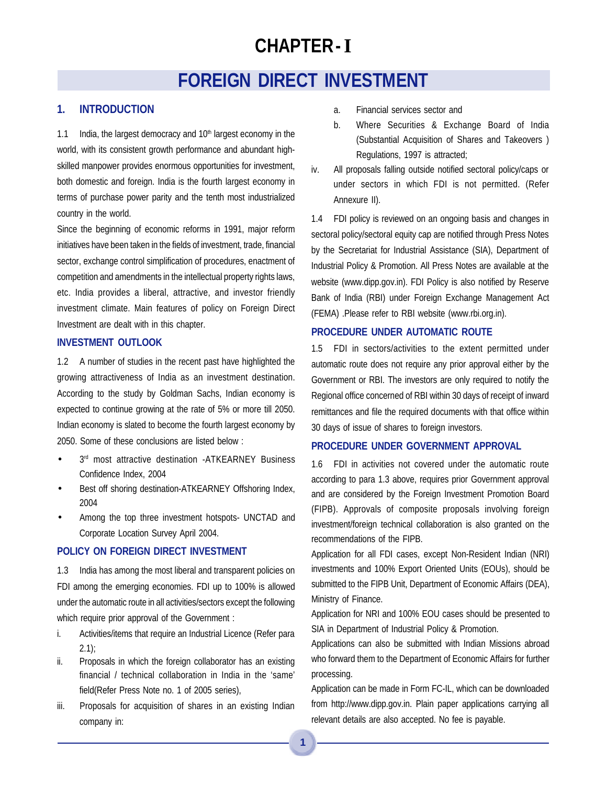## **CHAPTER-I**

## **FOREIGN DIRECT INVESTMENT**

### **1. INTRODUCTION**

1.1 India, the largest democracy and  $10<sup>th</sup>$  largest economy in the world, with its consistent growth performance and abundant highskilled manpower provides enormous opportunities for investment, both domestic and foreign. India is the fourth largest economy in terms of purchase power parity and the tenth most industrialized country in the world.

Since the beginning of economic reforms in 1991, major reform initiatives have been taken in the fields of investment, trade, financial sector, exchange control simplification of procedures, enactment of competition and amendments in the intellectual property rights laws, etc. India provides a liberal, attractive, and investor friendly investment climate. Main features of policy on Foreign Direct Investment are dealt with in this chapter.

### **INVESTMENT OUTLOOK**

1.2 A number of studies in the recent past have highlighted the growing attractiveness of India as an investment destination. According to the study by Goldman Sachs, Indian economy is expected to continue growing at the rate of 5% or more till 2050. Indian economy is slated to become the fourth largest economy by 2050. Some of these conclusions are listed below :

- 3<sup>rd</sup> most attractive destination -ATKEARNEY Business Confidence Index, 2004
- Best off shoring destination-ATKEARNEY Offshoring Index, 2004
- Among the top three investment hotspots- UNCTAD and Corporate Location Survey April 2004.

### **POLICY ON FOREIGN DIRECT INVESTMENT**

1.3 India has among the most liberal and transparent policies on FDI among the emerging economies. FDI up to 100% is allowed under the automatic route in all activities/sectors except the following which require prior approval of the Government :

- i. Activities/items that require an Industrial Licence (Refer para  $2.1$ );
- ii. Proposals in which the foreign collaborator has an existing financial / technical collaboration in India in the 'same' field(Refer Press Note no. 1 of 2005 series),
- iii. Proposals for acquisition of shares in an existing Indian company in:
- a. Financial services sector and
- b. Where Securities & Exchange Board of India (Substantial Acquisition of Shares and Takeovers ) Regulations, 1997 is attracted;
- iv. All proposals falling outside notified sectoral policy/caps or under sectors in which FDI is not permitted. (Refer Annexure II).

1.4 FDI policy is reviewed on an ongoing basis and changes in sectoral policy/sectoral equity cap are notified through Press Notes by the Secretariat for Industrial Assistance (SIA), Department of Industrial Policy & Promotion. All Press Notes are available at the website (www.dipp.gov.in). FDI Policy is also notified by Reserve Bank of India (RBI) under Foreign Exchange Management Act (FEMA) .Please refer to RBI website (www.rbi.org.in).

### **PROCEDURE UNDER AUTOMATIC ROUTE**

1.5 FDI in sectors/activities to the extent permitted under automatic route does not require any prior approval either by the Government or RBI. The investors are only required to notify the Regional office concerned of RBI within 30 days of receipt of inward remittances and file the required documents with that office within 30 days of issue of shares to foreign investors.

### **PROCEDURE UNDER GOVERNMENT APPROVAL**

1.6 FDI in activities not covered under the automatic route according to para 1.3 above, requires prior Government approval and are considered by the Foreign Investment Promotion Board (FIPB). Approvals of composite proposals involving foreign investment/foreign technical collaboration is also granted on the recommendations of the FIPB.

Application for all FDI cases, except Non-Resident Indian (NRI) investments and 100% Export Oriented Units (EOUs), should be submitted to the FIPB Unit, Department of Economic Affairs (DEA), Ministry of Finance.

Application for NRI and 100% EOU cases should be presented to SIA in Department of Industrial Policy & Promotion.

Applications can also be submitted with Indian Missions abroad who forward them to the Department of Economic Affairs for further processing.

Application can be made in Form FC-IL, which can be downloaded from http://www.dipp.gov.in. Plain paper applications carrying all relevant details are also accepted. No fee is payable.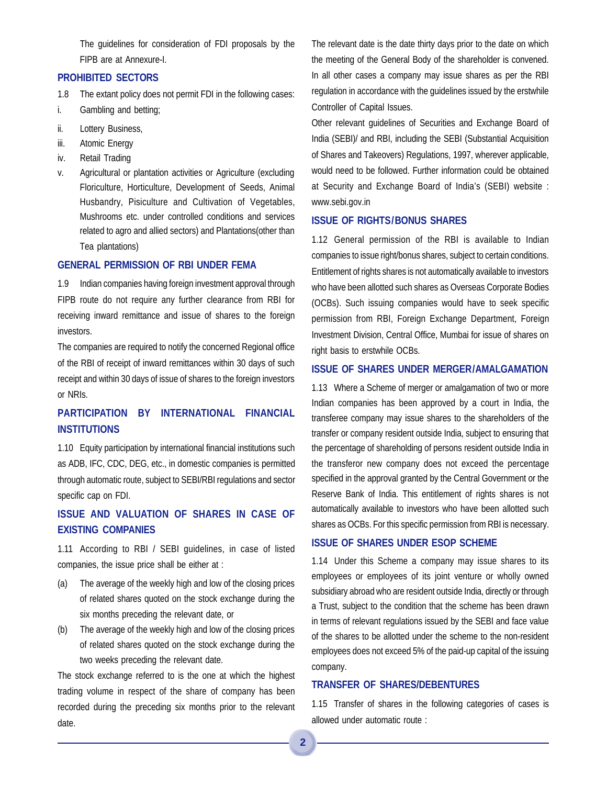The guidelines for consideration of FDI proposals by the FIPB are at Annexure-I.

### **PROHIBITED SECTORS**

- 1.8 The extant policy does not permit FDI in the following cases:
- i. Gambling and betting;
- ii. Lottery Business,
- iii. Atomic Energy
- iv. Retail Trading
- v. Agricultural or plantation activities or Agriculture (excluding Floriculture, Horticulture, Development of Seeds, Animal Husbandry, Pisiculture and Cultivation of Vegetables, Mushrooms etc. under controlled conditions and services related to agro and allied sectors) and Plantations(other than Tea plantations)

#### **GENERAL PERMISSION OF RBI UNDER FEMA**

1.9 Indian companies having foreign investment approval through FIPB route do not require any further clearance from RBI for receiving inward remittance and issue of shares to the foreign investors.

The companies are required to notify the concerned Regional office of the RBI of receipt of inward remittances within 30 days of such receipt and within 30 days of issue of shares to the foreign investors or NRIs.

### **PARTICIPATION BY INTERNATIONAL FINANCIAL INSTITUTIONS**

1.10 Equity participation by international financial institutions such as ADB, IFC, CDC, DEG, etc., in domestic companies is permitted through automatic route, subject to SEBI/RBI regulations and sector specific cap on FDI.

### **ISSUE AND VALUATION OF SHARES IN CASE OF EXISTING COMPANIES**

1.11 According to RBI / SEBI guidelines, in case of listed companies, the issue price shall be either at :

- (a) The average of the weekly high and low of the closing prices of related shares quoted on the stock exchange during the six months preceding the relevant date, or
- (b) The average of the weekly high and low of the closing prices of related shares quoted on the stock exchange during the two weeks preceding the relevant date.

The stock exchange referred to is the one at which the highest trading volume in respect of the share of company has been recorded during the preceding six months prior to the relevant date.

The relevant date is the date thirty days prior to the date on which the meeting of the General Body of the shareholder is convened. In all other cases a company may issue shares as per the RBI regulation in accordance with the guidelines issued by the erstwhile Controller of Capital Issues.

Other relevant guidelines of Securities and Exchange Board of India (SEBI)/ and RBI, including the SEBI (Substantial Acquisition of Shares and Takeovers) Regulations, 1997, wherever applicable, would need to be followed. Further information could be obtained at Security and Exchange Board of India's (SEBI) website : www.sebi.gov.in

### **ISSUE OF RIGHTS/BONUS SHARES**

1.12 General permission of the RBI is available to Indian companies to issue right/bonus shares, subject to certain conditions. Entitlement of rights shares is not automatically available to investors who have been allotted such shares as Overseas Corporate Bodies (OCBs). Such issuing companies would have to seek specific permission from RBI, Foreign Exchange Department, Foreign Investment Division, Central Office, Mumbai for issue of shares on right basis to erstwhile OCBs.

#### **ISSUE OF SHARES UNDER MERGER/AMALGAMATION**

1.13 Where a Scheme of merger or amalgamation of two or more Indian companies has been approved by a court in India, the transferee company may issue shares to the shareholders of the transfer or company resident outside India, subject to ensuring that the percentage of shareholding of persons resident outside India in the transferor new company does not exceed the percentage specified in the approval granted by the Central Government or the Reserve Bank of India. This entitlement of rights shares is not automatically available to investors who have been allotted such shares as OCBs. For this specific permission from RBI is necessary.

### **ISSUE OF SHARES UNDER ESOP SCHEME**

1.14 Under this Scheme a company may issue shares to its employees or employees of its joint venture or wholly owned subsidiary abroad who are resident outside India, directly or through a Trust, subject to the condition that the scheme has been drawn in terms of relevant regulations issued by the SEBI and face value of the shares to be allotted under the scheme to the non-resident employees does not exceed 5% of the paid-up capital of the issuing company.

#### **TRANSFER OF SHARES/DEBENTURES**

1.15 Transfer of shares in the following categories of cases is allowed under automatic route :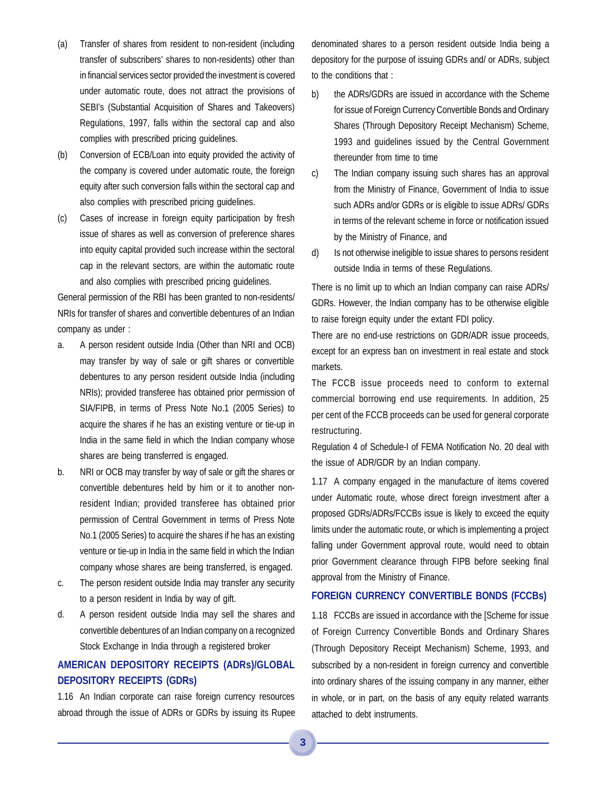- (a) Transfer of shares from resident to non-resident (including transfer of subscribers' shares to non-residents) other than in financial services sector provided the investment is covered under automatic route, does not attract the provisions of SEBI's (Substantial Acquisition of Shares and Takeovers) Regulations, 1997, falls within the sectoral cap and also complies with prescribed pricing guidelines.
- (b) Conversion of ECB/Loan into equity provided the activity of the company is covered under automatic route, the foreign equity after such conversion falls within the sectoral cap and also complies with prescribed pricing guidelines.
- (c) Cases of increase in foreign equity participation by fresh issue of shares as well as conversion of preference shares into equity capital provided such increase within the sectoral cap in the relevant sectors, are within the automatic route and also complies with prescribed pricing guidelines.

General permission of the RBI has been granted to non-residents/ NRIs for transfer of shares and convertible debentures of an Indian company as under :

- a. A person resident outside India (Other than NRI and OCB) may transfer by way of sale or gift shares or convertible debentures to any person resident outside India (including NRIs); provided transferee has obtained prior permission of SIA/FIPB, in terms of Press Note No.1 (2005 Series) to acquire the shares if he has an existing venture or tie-up in India in the same field in which the Indian company whose shares are being transferred is engaged.
- b. NRI or OCB may transfer by way of sale or gift the shares or convertible debentures held by him or it to another nonresident Indian; provided transferee has obtained prior permission of Central Government in terms of Press Note No.1 (2005 Series) to acquire the shares if he has an existing venture or tie-up in India in the same field in which the Indian company whose shares are being transferred, is engaged.
- c. The person resident outside India may transfer any security to a person resident in India by way of gift.
- d. A person resident outside India may sell the shares and convertible debentures of an Indian company on a recognized Stock Exchange in India through a registered broker

### **AMERICAN DEPOSITORY RECEIPTS (ADRs)/GLOBAL DEPOSITORY RECEIPTS (GDRs)**

1.16 An Indian corporate can raise foreign currency resources abroad through the issue of ADRs or GDRs by issuing its Rupee denominated shares to a person resident outside India being a depository for the purpose of issuing GDRs and/ or ADRs, subject to the conditions that :

- b) the ADRs/GDRs are issued in accordance with the Scheme for issue of Foreign Currency Convertible Bonds and Ordinary Shares (Through Depository Receipt Mechanism) Scheme, 1993 and guidelines issued by the Central Government thereunder from time to time
- c) The Indian company issuing such shares has an approval from the Ministry of Finance, Government of India to issue such ADRs and/or GDRs or is eligible to issue ADRs/ GDRs in terms of the relevant scheme in force or notification issued by the Ministry of Finance, and
- d) Is not otherwise ineligible to issue shares to persons resident outside India in terms of these Regulations.

There is no limit up to which an Indian company can raise ADRs/ GDRs. However, the Indian company has to be otherwise eligible to raise foreign equity under the extant FDI policy.

There are no end-use restrictions on GDR/ADR issue proceeds, except for an express ban on investment in real estate and stock markets.

The FCCB issue proceeds need to conform to external commercial borrowing end use requirements. In addition, 25 per cent of the FCCB proceeds can be used for general corporate restructuring.

Regulation 4 of Schedule-I of FEMA Notification No. 20 deal with the issue of ADR/GDR by an Indian company.

1.17 A company engaged in the manufacture of items covered under Automatic route, whose direct foreign investment after a proposed GDRs/ADRs/FCCBs issue is likely to exceed the equity limits under the automatic route, or which is implementing a project falling under Government approval route, would need to obtain prior Government clearance through FIPB before seeking final approval from the Ministry of Finance.

### **FOREIGN CURRENCY CONVERTIBLE BONDS (FCCBs)**

1.18 FCCBs are issued in accordance with the [Scheme for issue of Foreign Currency Convertible Bonds and Ordinary Shares (Through Depository Receipt Mechanism) Scheme, 1993, and subscribed by a non-resident in foreign currency and convertible into ordinary shares of the issuing company in any manner, either in whole, or in part, on the basis of any equity related warrants attached to debt instruments.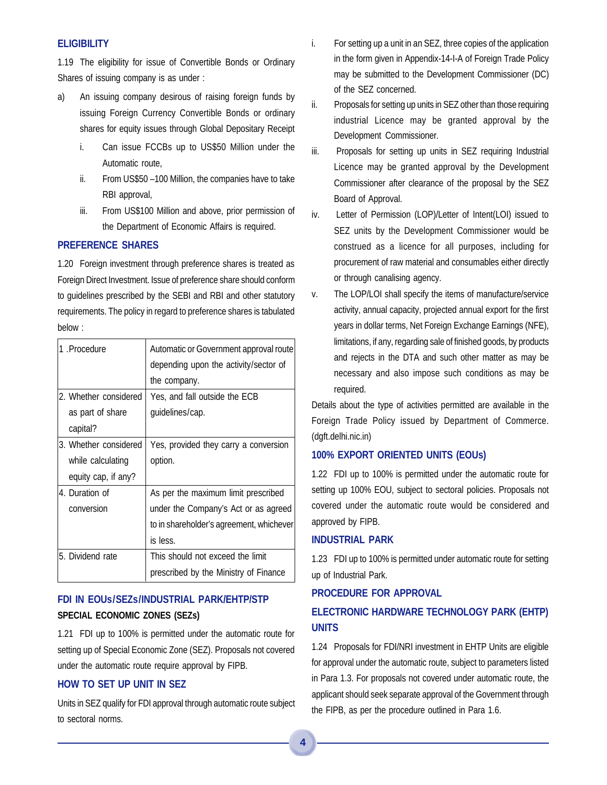#### **ELIGIBILITY**

1.19 The eligibility for issue of Convertible Bonds or Ordinary Shares of issuing company is as under :

- a) An issuing company desirous of raising foreign funds by issuing Foreign Currency Convertible Bonds or ordinary shares for equity issues through Global Depositary Receipt
	- i. Can issue FCCBs up to US\$50 Million under the Automatic route,
	- ii. From US\$50 –100 Million, the companies have to take RBI approval,
	- iii. From US\$100 Million and above, prior permission of the Department of Economic Affairs is required.

### **PREFERENCE SHARES**

1.20 Foreign investment through preference shares is treated as Foreign Direct Investment. Issue of preference share should conform to guidelines prescribed by the SEBI and RBI and other statutory requirements. The policy in regard to preference shares is tabulated below :

| 1. Procedure          | Automatic or Government approval route   |
|-----------------------|------------------------------------------|
|                       | depending upon the activity/sector of    |
|                       | the company.                             |
| 2. Whether considered | Yes, and fall outside the ECB            |
| as part of share      | guidelines/cap.                          |
| capital?              |                                          |
| 3. Whether considered | Yes, provided they carry a conversion    |
| while calculating     | option.                                  |
| equity cap, if any?   |                                          |
| 4. Duration of        | As per the maximum limit prescribed      |
| conversion            | under the Company's Act or as agreed     |
|                       | to in shareholder's agreement, whichever |
|                       | is less.                                 |
| 5. Dividend rate      | This should not exceed the limit         |
|                       | prescribed by the Ministry of Finance    |

### **FDI IN EOUs/SEZs/INDUSTRIAL PARK/EHTP/STP SPECIAL ECONOMIC ZONES (SEZs)**

1.21 FDI up to 100% is permitted under the automatic route for setting up of Special Economic Zone (SEZ). Proposals not covered under the automatic route require approval by FIPB.

### **HOW TO SET UP UNIT IN SEZ**

Units in SEZ qualify for FDI approval through automatic route subject to sectoral norms.

- i. For setting up a unit in an SEZ, three copies of the application in the form given in Appendix-14-I-A of Foreign Trade Policy may be submitted to the Development Commissioner (DC) of the SEZ concerned.
- ii. Proposals for setting up units in SEZ other than those requiring industrial Licence may be granted approval by the Development Commissioner.
- iii. Proposals for setting up units in SEZ requiring Industrial Licence may be granted approval by the Development Commissioner after clearance of the proposal by the SEZ Board of Approval.
- iv. Letter of Permission (LOP)/Letter of Intent(LOI) issued to SEZ units by the Development Commissioner would be construed as a licence for all purposes, including for procurement of raw material and consumables either directly or through canalising agency.
- v. The LOP/LOI shall specify the items of manufacture/service activity, annual capacity, projected annual export for the first years in dollar terms, Net Foreign Exchange Earnings (NFE), limitations, if any, regarding sale of finished goods, by products and rejects in the DTA and such other matter as may be necessary and also impose such conditions as may be required.

Details about the type of activities permitted are available in the Foreign Trade Policy issued by Department of Commerce. (dgft.delhi.nic.in)

### **100% EXPORT ORIENTED UNITS (EOUs)**

1.22 FDI up to 100% is permitted under the automatic route for setting up 100% EOU, subject to sectoral policies. Proposals not covered under the automatic route would be considered and approved by FIPB.

### **INDUSTRIAL PARK**

1.23 FDI up to 100% is permitted under automatic route for setting up of Industrial Park.

### **PROCEDURE FOR APPROVAL**

### **ELECTRONIC HARDWARE TECHNOLOGY PARK (EHTP) UNITS**

1.24 Proposals for FDI/NRI investment in EHTP Units are eligible for approval under the automatic route, subject to parameters listed in Para 1.3. For proposals not covered under automatic route, the applicant should seek separate approval of the Government through the FIPB, as per the procedure outlined in Para 1.6.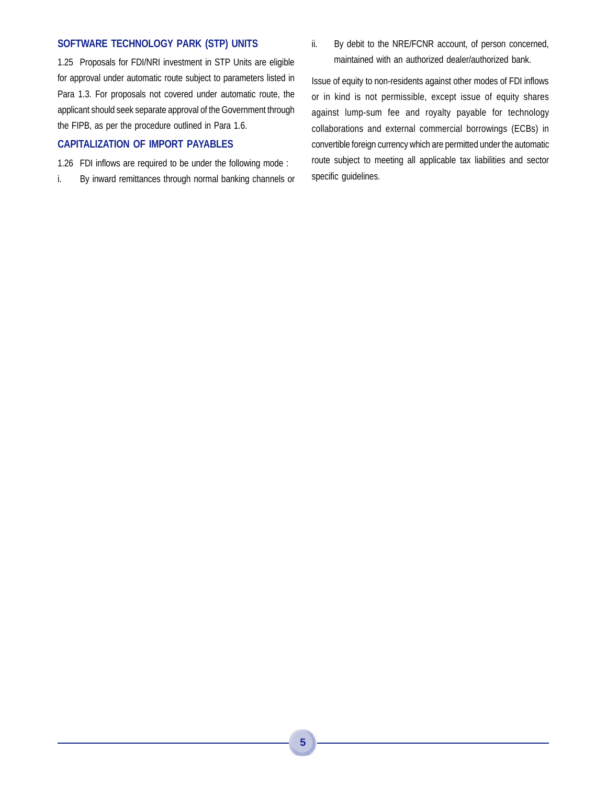### **SOFTWARE TECHNOLOGY PARK (STP) UNITS**

1.25 Proposals for FDI/NRI investment in STP Units are eligible for approval under automatic route subject to parameters listed in Para 1.3. For proposals not covered under automatic route, the applicant should seek separate approval of the Government through the FIPB, as per the procedure outlined in Para 1.6.

### **CAPITALIZATION OF IMPORT PAYABLES**

1.26 FDI inflows are required to be under the following mode :

i. By inward remittances through normal banking channels or

ii. By debit to the NRE/FCNR account, of person concerned, maintained with an authorized dealer/authorized bank.

Issue of equity to non-residents against other modes of FDI inflows or in kind is not permissible, except issue of equity shares against lump-sum fee and royalty payable for technology collaborations and external commercial borrowings (ECBs) in convertible foreign currency which are permitted under the automatic route subject to meeting all applicable tax liabilities and sector specific guidelines.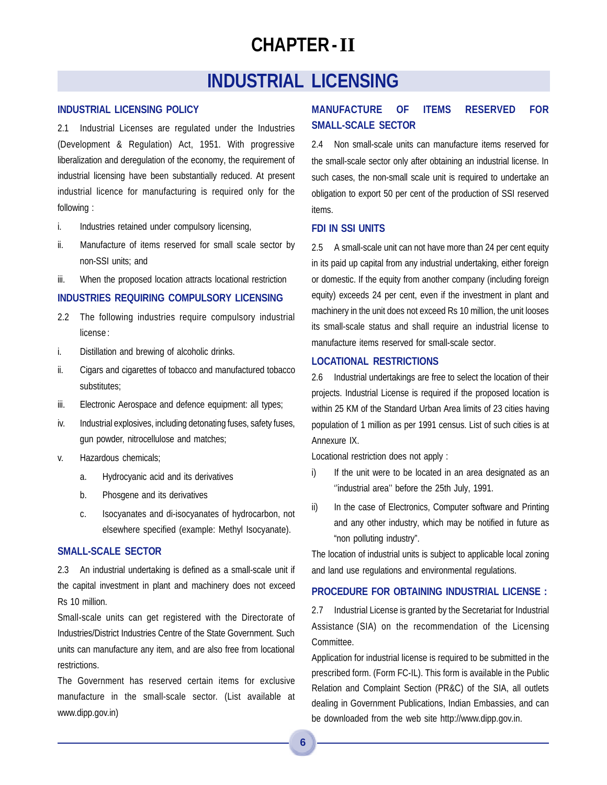## **CHAPTER-II**

## **INDUSTRIAL LICENSING**

### **INDUSTRIAL LICENSING POLICY**

2.1 Industrial Licenses are regulated under the Industries (Development & Regulation) Act, 1951. With progressive liberalization and deregulation of the economy, the requirement of industrial licensing have been substantially reduced. At present industrial licence for manufacturing is required only for the following :

- i. Industries retained under compulsory licensing,
- ii. Manufacture of items reserved for small scale sector by non-SSI units; and
- iii. When the proposed location attracts locational restriction

#### **INDUSTRIES REQUIRING COMPULSORY LICENSING**

- 2.2 The following industries require compulsory industrial license :
- i. Distillation and brewing of alcoholic drinks.
- ii. Cigars and cigarettes of tobacco and manufactured tobacco substitutes;
- iii. Electronic Aerospace and defence equipment: all types;
- iv. Industrial explosives, including detonating fuses, safety fuses, gun powder, nitrocellulose and matches;
- v. Hazardous chemicals;
	- a. Hydrocyanic acid and its derivatives
	- b. Phosgene and its derivatives
	- c. Isocyanates and di-isocyanates of hydrocarbon, not elsewhere specified (example: Methyl Isocyanate).

### **SMALL-SCALE SECTOR**

2.3 An industrial undertaking is defined as a small-scale unit if the capital investment in plant and machinery does not exceed Rs 10 million.

Small-scale units can get registered with the Directorate of Industries/District Industries Centre of the State Government. Such units can manufacture any item, and are also free from locational restrictions.

The Government has reserved certain items for exclusive manufacture in the small-scale sector. (List available at www.dipp.gov.in)

### **MANUFACTURE OF ITEMS RESERVED FOR SMALL-SCALE SECTOR**

2.4 Non small-scale units can manufacture items reserved for the small-scale sector only after obtaining an industrial license. In such cases, the non-small scale unit is required to undertake an obligation to export 50 per cent of the production of SSI reserved items.

### **FDI IN SSI UNITS**

2.5 A small-scale unit can not have more than 24 per cent equity in its paid up capital from any industrial undertaking, either foreign or domestic. If the equity from another company (including foreign equity) exceeds 24 per cent, even if the investment in plant and machinery in the unit does not exceed Rs 10 million, the unit looses its small-scale status and shall require an industrial license to manufacture items reserved for small-scale sector.

#### **LOCATIONAL RESTRICTIONS**

2.6 Industrial undertakings are free to select the location of their projects. Industrial License is required if the proposed location is within 25 KM of the Standard Urban Area limits of 23 cities having population of 1 million as per 1991 census. List of such cities is at Annexure IX.

Locational restriction does not apply :

- i) If the unit were to be located in an area designated as an ''industrial area'' before the 25th July, 1991.
- ii) In the case of Electronics, Computer software and Printing and any other industry, which may be notified in future as "non polluting industry".

The location of industrial units is subject to applicable local zoning and land use regulations and environmental regulations.

### **PROCEDURE FOR OBTAINING INDUSTRIAL LICENSE :**

2.7 Industrial License is granted by the Secretariat for Industrial Assistance (SIA) on the recommendation of the Licensing Committee.

Application for industrial license is required to be submitted in the prescribed form. (Form FC-IL). This form is available in the Public Relation and Complaint Section (PR&C) of the SIA, all outlets dealing in Government Publications, Indian Embassies, and can be downloaded from the web site http://www.dipp.gov.in.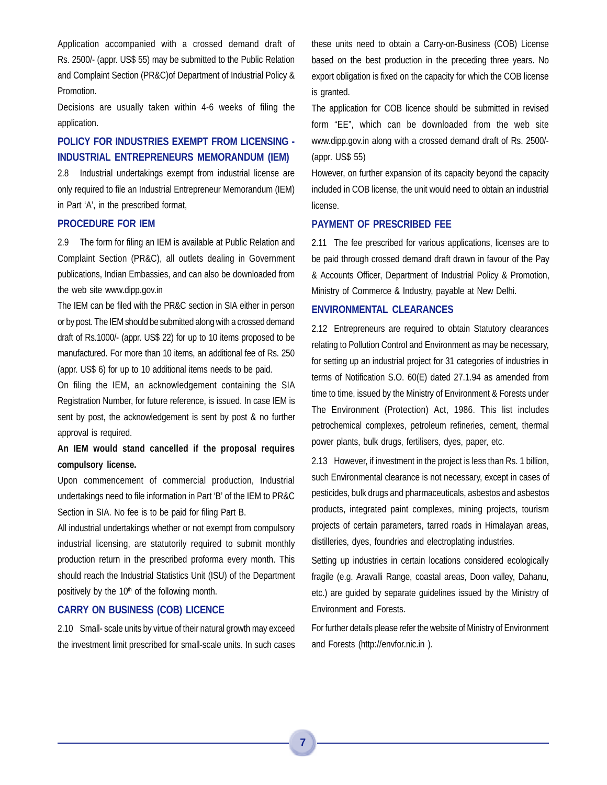Application accompanied with a crossed demand draft of Rs. 2500/- (appr. US\$ 55) may be submitted to the Public Relation and Complaint Section (PR&C)of Department of Industrial Policy & Promotion.

Decisions are usually taken within 4-6 weeks of filing the application.

### **POLICY FOR INDUSTRIES EXEMPT FROM LICENSING - INDUSTRIAL ENTREPRENEURS MEMORANDUM (IEM)**

2.8 Industrial undertakings exempt from industrial license are only required to file an Industrial Entrepreneur Memorandum (IEM) in Part 'A', in the prescribed format,

### **PROCEDURE FOR IEM**

2.9 The form for filing an IEM is available at Public Relation and Complaint Section (PR&C), all outlets dealing in Government publications, Indian Embassies, and can also be downloaded from the web site www.dipp.gov.in

The IEM can be filed with the PR&C section in SIA either in person or by post. The IEM should be submitted along with a crossed demand draft of Rs.1000/- (appr. US\$ 22) for up to 10 items proposed to be manufactured. For more than 10 items, an additional fee of Rs. 250 (appr. US\$ 6) for up to 10 additional items needs to be paid.

On filing the IEM, an acknowledgement containing the SIA Registration Number, for future reference, is issued. In case IEM is sent by post, the acknowledgement is sent by post & no further approval is required.

**An IEM would stand cancelled if the proposal requires compulsory license.**

Upon commencement of commercial production, Industrial undertakings need to file information in Part 'B' of the IEM to PR&C Section in SIA. No fee is to be paid for filing Part B.

All industrial undertakings whether or not exempt from compulsory industrial licensing, are statutorily required to submit monthly production return in the prescribed proforma every month. This should reach the Industrial Statistics Unit (ISU) of the Department positively by the 10<sup>th</sup> of the following month.

### **CARRY ON BUSINESS (COB) LICENCE**

2.10 Small- scale units by virtue of their natural growth may exceed the investment limit prescribed for small-scale units. In such cases

these units need to obtain a Carry-on-Business (COB) License based on the best production in the preceding three years. No export obligation is fixed on the capacity for which the COB license is granted.

The application for COB licence should be submitted in revised form "EE", which can be downloaded from the web site www.dipp.gov.in along with a crossed demand draft of Rs. 2500/- (appr. US\$ 55)

However, on further expansion of its capacity beyond the capacity included in COB license, the unit would need to obtain an industrial license.

### **PAYMENT OF PRESCRIBED FEE**

2.11 The fee prescribed for various applications, licenses are to be paid through crossed demand draft drawn in favour of the Pay & Accounts Officer, Department of Industrial Policy & Promotion, Ministry of Commerce & Industry, payable at New Delhi.

### **ENVIRONMENTAL CLEARANCES**

2.12 Entrepreneurs are required to obtain Statutory clearances relating to Pollution Control and Environment as may be necessary, for setting up an industrial project for 31 categories of industries in terms of Notification S.O. 60(E) dated 27.1.94 as amended from time to time, issued by the Ministry of Environment & Forests under The Environment (Protection) Act, 1986. This list includes petrochemical complexes, petroleum refineries, cement, thermal power plants, bulk drugs, fertilisers, dyes, paper, etc.

2.13 However, if investment in the project is less than Rs. 1 billion, such Environmental clearance is not necessary, except in cases of pesticides, bulk drugs and pharmaceuticals, asbestos and asbestos products, integrated paint complexes, mining projects, tourism projects of certain parameters, tarred roads in Himalayan areas, distilleries, dyes, foundries and electroplating industries.

Setting up industries in certain locations considered ecologically fragile (e.g. Aravalli Range, coastal areas, Doon valley, Dahanu, etc.) are guided by separate guidelines issued by the Ministry of Environment and Forests.

For further details please refer the website of Ministry of Environment and Forests (http://envfor.nic.in ).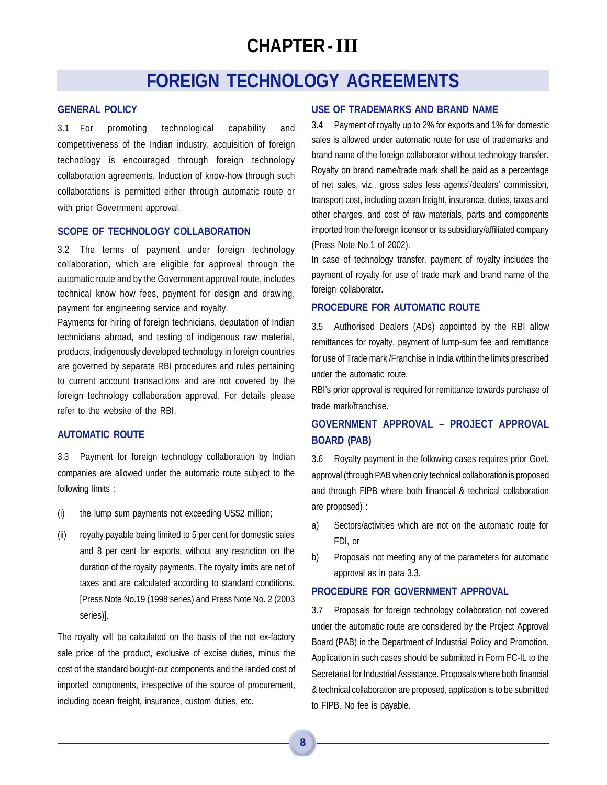## **CHAPTER-III**

## **FOREIGN TECHNOLOGY AGREEMENTS**

### **GENERAL POLICY**

3.1 For promoting technological capability and competitiveness of the Indian industry, acquisition of foreign technology is encouraged through foreign technology collaboration agreements. Induction of know-how through such collaborations is permitted either through automatic route or with prior Government approval.

#### **SCOPE OF TECHNOLOGY COLLABORATION**

3.2 The terms of payment under foreign technology collaboration, which are eligible for approval through the automatic route and by the Government approval route, includes technical know how fees, payment for design and drawing, payment for engineering service and royalty.

Payments for hiring of foreign technicians, deputation of Indian technicians abroad, and testing of indigenous raw material, products, indigenously developed technology in foreign countries are governed by separate RBI procedures and rules pertaining to current account transactions and are not covered by the foreign technology collaboration approval. For details please refer to the website of the RBI.

### **AUTOMATIC ROUTE**

3.3 Payment for foreign technology collaboration by Indian companies are allowed under the automatic route subject to the following limits :

- (i) the lump sum payments not exceeding US\$2 million;
- (ii) royalty payable being limited to 5 per cent for domestic sales and 8 per cent for exports, without any restriction on the duration of the royalty payments. The royalty limits are net of taxes and are calculated according to standard conditions. [Press Note No.19 (1998 series) and Press Note No. 2 (2003 series)].

The royalty will be calculated on the basis of the net ex-factory sale price of the product, exclusive of excise duties, minus the cost of the standard bought-out components and the landed cost of imported components, irrespective of the source of procurement, including ocean freight, insurance, custom duties, etc.

#### **USE OF TRADEMARKS AND BRAND NAME**

3.4 Payment of royalty up to 2% for exports and 1% for domestic sales is allowed under automatic route for use of trademarks and brand name of the foreign collaborator without technology transfer. Royalty on brand name/trade mark shall be paid as a percentage of net sales, viz., gross sales less agents'/dealers' commission, transport cost, including ocean freight, insurance, duties, taxes and other charges, and cost of raw materials, parts and components imported from the foreign licensor or its subsidiary/affiliated company (Press Note No.1 of 2002).

In case of technology transfer, payment of royalty includes the payment of royalty for use of trade mark and brand name of the foreign collaborator.

### **PROCEDURE FOR AUTOMATIC ROUTE**

3.5 Authorised Dealers (ADs) appointed by the RBI allow remittances for royalty, payment of lump-sum fee and remittance for use of Trade mark /Franchise in India within the limits prescribed under the automatic route.

RBI's prior approval is required for remittance towards purchase of trade mark/franchise.

### **GOVERNMENT APPROVAL – PROJECT APPROVAL BOARD (PAB)**

3.6 Royalty payment in the following cases requires prior Govt. approval (through PAB when only technical collaboration is proposed and through FIPB where both financial & technical collaboration are proposed) :

- a) Sectors/activities which are not on the automatic route for FDI, or
- b) Proposals not meeting any of the parameters for automatic approval as in para 3.3.

### **PROCEDURE FOR GOVERNMENT APPROVAL**

3.7 Proposals for foreign technology collaboration not covered under the automatic route are considered by the Project Approval Board (PAB) in the Department of Industrial Policy and Promotion. Application in such cases should be submitted in Form FC-IL to the Secretariat for Industrial Assistance. Proposals where both financial & technical collaboration are proposed, application is to be submitted to FIPB. No fee is payable.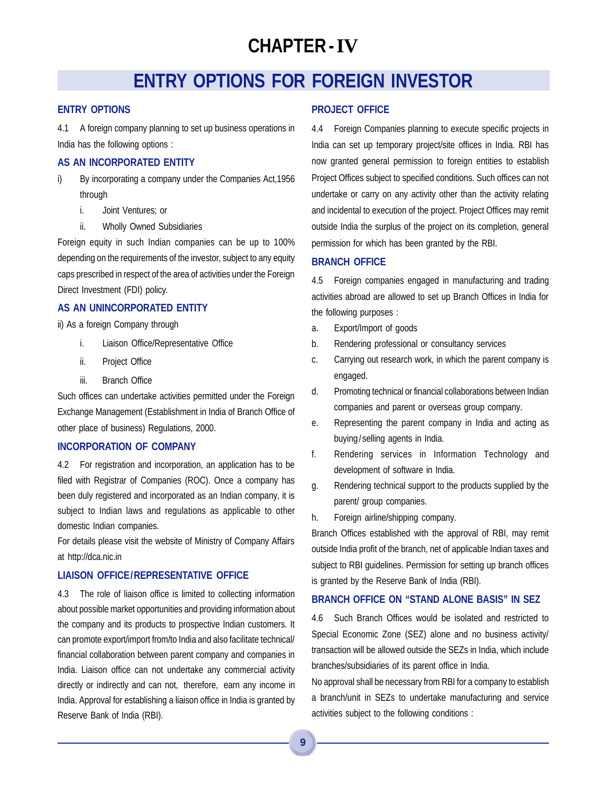## **CHAPTER-IV**

## **ENTRY OPTIONS FOR FOREIGN INVESTOR**

### **ENTRY OPTIONS**

4.1 A foreign company planning to set up business operations in India has the following options :

### **AS AN INCORPORATED ENTITY**

- i) By incorporating a company under the Companies Act, 1956 through
	- i. Joint Ventures; or
	- ii. Wholly Owned Subsidiaries

Foreign equity in such Indian companies can be up to 100% depending on the requirements of the investor, subject to any equity caps prescribed in respect of the area of activities under the Foreign Direct Investment (FDI) policy.

### **AS AN UNINCORPORATED ENTITY**

ii) As a foreign Company through

- i. Liaison Office/Representative Office
- ii. Project Office
- iii. Branch Office

Such offices can undertake activities permitted under the Foreign Exchange Management (Establishment in India of Branch Office of other place of business) Regulations, 2000.

### **INCORPORATION OF COMPANY**

4.2 For registration and incorporation, an application has to be filed with Registrar of Companies (ROC). Once a company has been duly registered and incorporated as an Indian company, it is subject to Indian laws and regulations as applicable to other domestic Indian companies.

For details please visit the website of Ministry of Company Affairs at http://dca.nic.in

### **LIAISON OFFICE/REPRESENTATIVE OFFICE**

4.3 The role of liaison office is limited to collecting information about possible market opportunities and providing information about the company and its products to prospective Indian customers. It can promote export/import from/to India and also facilitate technical/ financial collaboration between parent company and companies in India. Liaison office can not undertake any commercial activity directly or indirectly and can not, therefore, earn any income in India. Approval for establishing a liaison office in India is granted by Reserve Bank of India (RBI).

### **PROJECT OFFICE**

4.4 Foreign Companies planning to execute specific projects in India can set up temporary project/site offices in India. RBI has now granted general permission to foreign entities to establish Project Offices subject to specified conditions. Such offices can not undertake or carry on any activity other than the activity relating and incidental to execution of the project. Project Offices may remit outside India the surplus of the project on its completion, general permission for which has been granted by the RBI.

### **BRANCH OFFICE**

4.5 Foreign companies engaged in manufacturing and trading activities abroad are allowed to set up Branch Offices in India for the following purposes :

- a. Export/Import of goods
- b. Rendering professional or consultancy services
- c. Carrying out research work, in which the parent company is engaged.
- d. Promoting technical or financial collaborations between Indian companies and parent or overseas group company.
- e. Representing the parent company in India and acting as buying /selling agents in India.
- f. Rendering services in Information Technology and development of software in India.
- g. Rendering technical support to the products supplied by the parent/ group companies.

h. Foreign airline/shipping company.

Branch Offices established with the approval of RBI, may remit outside India profit of the branch, net of applicable Indian taxes and subject to RBI guidelines. Permission for setting up branch offices is granted by the Reserve Bank of India (RBI).

### **BRANCH OFFICE ON "STAND ALONE BASIS" IN SEZ**

4.6 Such Branch Offices would be isolated and restricted to Special Economic Zone (SEZ) alone and no business activity/ transaction will be allowed outside the SEZs in India, which include branches/subsidiaries of its parent office in India.

No approval shall be necessary from RBI for a company to establish a branch/unit in SEZs to undertake manufacturing and service activities subject to the following conditions :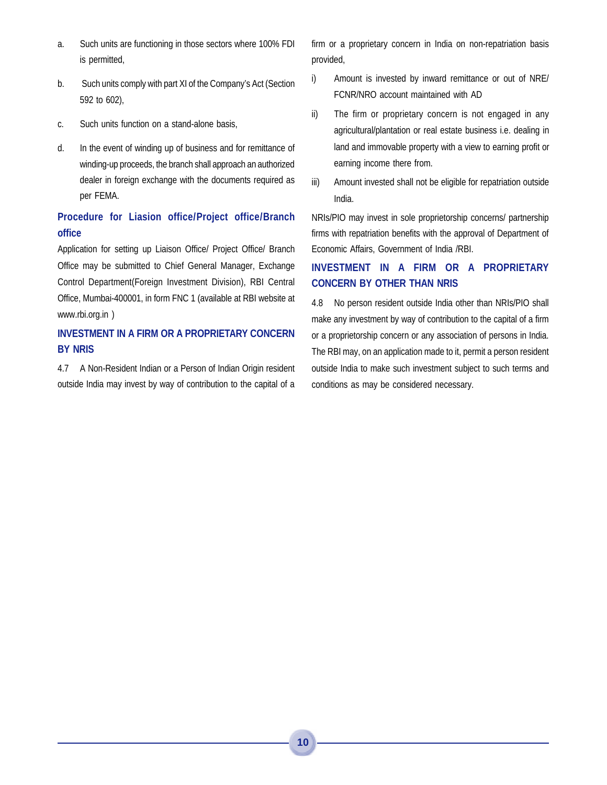- a. Such units are functioning in those sectors where 100% FDI is permitted,
- b. Such units comply with part XI of the Company's Act (Section 592 to 602),
- c. Such units function on a stand-alone basis,
- d. In the event of winding up of business and for remittance of winding-up proceeds, the branch shall approach an authorized dealer in foreign exchange with the documents required as per FEMA.

### **Procedure for Liasion office/Project office/Branch office**

Application for setting up Liaison Office/ Project Office/ Branch Office may be submitted to Chief General Manager, Exchange Control Department(Foreign Investment Division), RBI Central Office, Mumbai-400001, in form FNC 1 (available at RBI website at www.rbi.org.in )

### **INVESTMENT IN A FIRM OR A PROPRIETARY CONCERN BY NRIS**

4.7 A Non-Resident Indian or a Person of Indian Origin resident outside India may invest by way of contribution to the capital of a firm or a proprietary concern in India on non-repatriation basis provided,

- i) Amount is invested by inward remittance or out of NRE/ FCNR/NRO account maintained with AD
- ii) The firm or proprietary concern is not engaged in any agricultural/plantation or real estate business i.e. dealing in land and immovable property with a view to earning profit or earning income there from.
- iii) Amount invested shall not be eligible for repatriation outside India.

NRIs/PIO may invest in sole proprietorship concerns/ partnership firms with repatriation benefits with the approval of Department of Economic Affairs, Government of India /RBI.

### **INVESTMENT IN A FIRM OR A PROPRIETARY CONCERN BY OTHER THAN NRIS**

4.8 No person resident outside India other than NRIs/PIO shall make any investment by way of contribution to the capital of a firm or a proprietorship concern or any association of persons in India. The RBI may, on an application made to it, permit a person resident outside India to make such investment subject to such terms and conditions as may be considered necessary.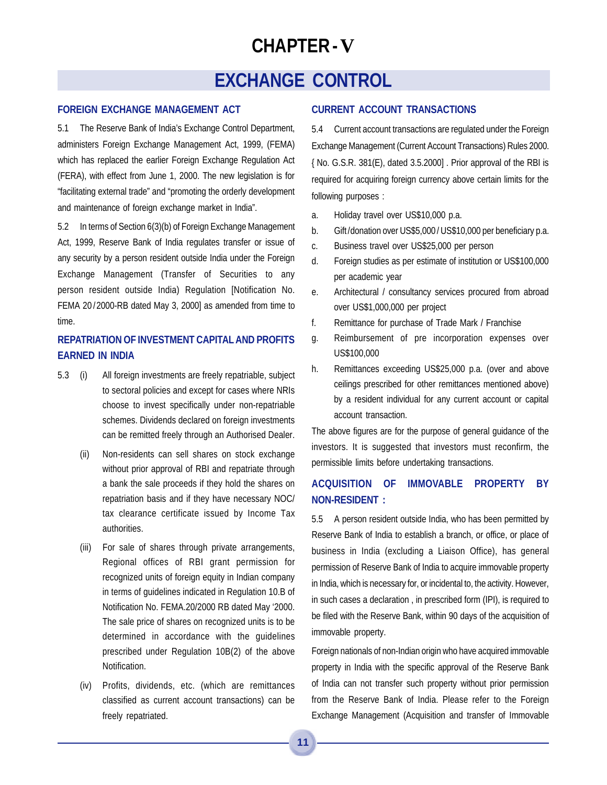## **CHAPTER-V**

## **EXCHANGE CONTROL**

### **FOREIGN EXCHANGE MANAGEMENT ACT**

5.1 The Reserve Bank of India's Exchange Control Department, administers Foreign Exchange Management Act, 1999, (FEMA) which has replaced the earlier Foreign Exchange Regulation Act (FERA), with effect from June 1, 2000. The new legislation is for "facilitating external trade" and "promoting the orderly development and maintenance of foreign exchange market in India".

5.2 In terms of Section 6(3)(b) of Foreign Exchange Management Act, 1999, Reserve Bank of India regulates transfer or issue of any security by a person resident outside India under the Foreign Exchange Management (Transfer of Securities to any person resident outside India) Regulation [Notification No. FEMA 20 /2000-RB dated May 3, 2000] as amended from time to time.

### **REPATRIATION OF INVESTMENT CAPITAL AND PROFITS EARNED IN INDIA**

- 5.3 (i) All foreign investments are freely repatriable, subject to sectoral policies and except for cases where NRIs choose to invest specifically under non-repatriable schemes. Dividends declared on foreign investments can be remitted freely through an Authorised Dealer.
	- (ii) Non-residents can sell shares on stock exchange without prior approval of RBI and repatriate through a bank the sale proceeds if they hold the shares on repatriation basis and if they have necessary NOC/ tax clearance certificate issued by Income Tax authorities.
	- (iii) For sale of shares through private arrangements, Regional offices of RBI grant permission for recognized units of foreign equity in Indian company in terms of guidelines indicated in Regulation 10.B of Notification No. FEMA.20/2000 RB dated May '2000. The sale price of shares on recognized units is to be determined in accordance with the guidelines prescribed under Regulation 10B(2) of the above Notification.
	- (iv) Profits, dividends, etc. (which are remittances classified as current account transactions) can be freely repatriated.

### **CURRENT ACCOUNT TRANSACTIONS**

5.4 Current account transactions are regulated under the Foreign Exchange Management (Current Account Transactions) Rules 2000. { No. G.S.R. 381(E), dated 3.5.2000] . Prior approval of the RBI is required for acquiring foreign currency above certain limits for the following purposes :

- a. Holiday travel over US\$10,000 p.a.
- b. Gift/donation over US\$5,000 / US\$10,000 per beneficiary p.a.
- c. Business travel over US\$25,000 per person
- d. Foreign studies as per estimate of institution or US\$100,000 per academic year
- e. Architectural / consultancy services procured from abroad over US\$1,000,000 per project
- f. Remittance for purchase of Trade Mark / Franchise
- g. Reimbursement of pre incorporation expenses over US\$100,000
- h. Remittances exceeding US\$25,000 p.a. (over and above ceilings prescribed for other remittances mentioned above) by a resident individual for any current account or capital account transaction.

The above figures are for the purpose of general guidance of the investors. It is suggested that investors must reconfirm, the permissible limits before undertaking transactions.

### **ACQUISITION OF IMMOVABLE PROPERTY BY NON-RESIDENT :**

5.5 A person resident outside India, who has been permitted by Reserve Bank of India to establish a branch, or office, or place of business in India (excluding a Liaison Office), has general permission of Reserve Bank of India to acquire immovable property in India, which is necessary for, or incidental to, the activity. However, in such cases a declaration , in prescribed form (IPI), is required to be filed with the Reserve Bank, within 90 days of the acquisition of immovable property.

Foreign nationals of non-Indian origin who have acquired immovable property in India with the specific approval of the Reserve Bank of India can not transfer such property without prior permission from the Reserve Bank of India. Please refer to the Foreign Exchange Management (Acquisition and transfer of Immovable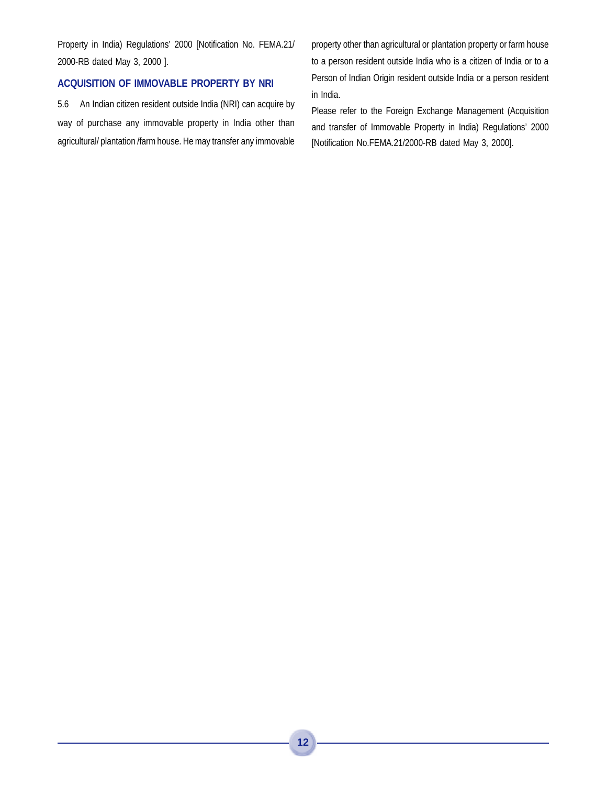Property in India) Regulations' 2000 [Notification No. FEMA.21/ 2000-RB dated May 3, 2000 ].

### **ACQUISITION OF IMMOVABLE PROPERTY BY NRI**

5.6 An Indian citizen resident outside India (NRI) can acquire by way of purchase any immovable property in India other than agricultural/ plantation /farm house. He may transfer any immovable

property other than agricultural or plantation property or farm house to a person resident outside India who is a citizen of India or to a Person of Indian Origin resident outside India or a person resident in India.

Please refer to the Foreign Exchange Management (Acquisition and transfer of Immovable Property in India) Regulations' 2000 [Notification No.FEMA.21/2000-RB dated May 3, 2000].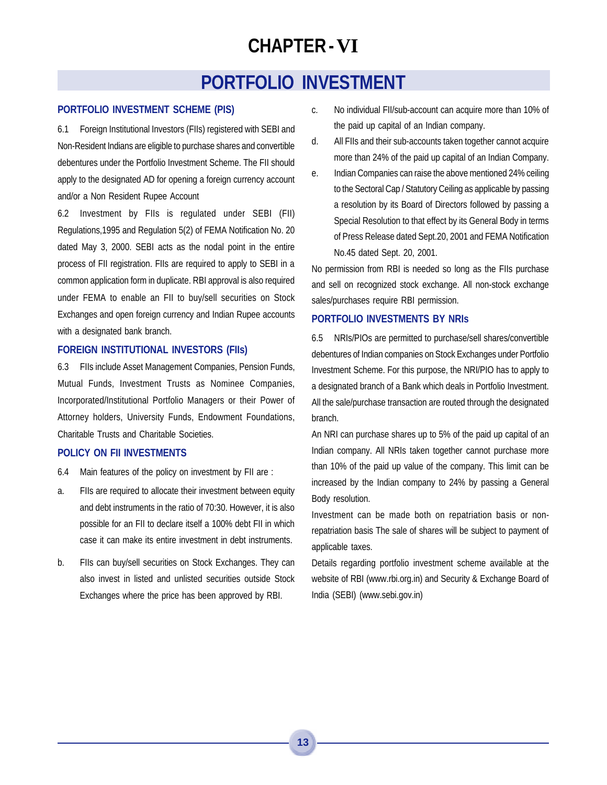## **CHAPTER-VI**

## **PORTFOLIO INVESTMENT**

### **PORTFOLIO INVESTMENT SCHEME (PIS)**

6.1 Foreign Institutional Investors (FIIs) registered with SEBI and Non-Resident Indians are eligible to purchase shares and convertible debentures under the Portfolio Investment Scheme. The FII should apply to the designated AD for opening a foreign currency account and/or a Non Resident Rupee Account

6.2 Investment by FIIs is regulated under SEBI (FII) Regulations,1995 and Regulation 5(2) of FEMA Notification No. 20 dated May 3, 2000. SEBI acts as the nodal point in the entire process of FII registration. FIIs are required to apply to SEBI in a common application form in duplicate. RBI approval is also required under FEMA to enable an FII to buy/sell securities on Stock Exchanges and open foreign currency and Indian Rupee accounts with a designated bank branch.

### **FOREIGN INSTITUTIONAL INVESTORS (FIIs)**

6.3 FIIs include Asset Management Companies, Pension Funds, Mutual Funds, Investment Trusts as Nominee Companies, Incorporated/Institutional Portfolio Managers or their Power of Attorney holders, University Funds, Endowment Foundations, Charitable Trusts and Charitable Societies.

### **POLICY ON FII INVESTMENTS**

- 6.4 Main features of the policy on investment by FII are :
- a. FIIs are required to allocate their investment between equity and debt instruments in the ratio of 70:30. However, it is also possible for an FII to declare itself a 100% debt FII in which case it can make its entire investment in debt instruments.
- b. FIIs can buy/sell securities on Stock Exchanges. They can also invest in listed and unlisted securities outside Stock Exchanges where the price has been approved by RBI.
- c. No individual FII/sub-account can acquire more than 10% of the paid up capital of an Indian company.
- d. All FIIs and their sub-accounts taken together cannot acquire more than 24% of the paid up capital of an Indian Company.
- e. Indian Companies can raise the above mentioned 24% ceiling to the Sectoral Cap / Statutory Ceiling as applicable by passing a resolution by its Board of Directors followed by passing a Special Resolution to that effect by its General Body in terms of Press Release dated Sept.20, 2001 and FEMA Notification No.45 dated Sept. 20, 2001.

No permission from RBI is needed so long as the FIIs purchase and sell on recognized stock exchange. All non-stock exchange sales/purchases require RBI permission.

### **PORTFOLIO INVESTMENTS BY NRIs**

6.5 NRIs/PIOs are permitted to purchase/sell shares/convertible debentures of Indian companies on Stock Exchanges under Portfolio Investment Scheme. For this purpose, the NRI/PIO has to apply to a designated branch of a Bank which deals in Portfolio Investment. All the sale/purchase transaction are routed through the designated branch.

An NRI can purchase shares up to 5% of the paid up capital of an Indian company. All NRIs taken together cannot purchase more than 10% of the paid up value of the company. This limit can be increased by the Indian company to 24% by passing a General Body resolution.

Investment can be made both on repatriation basis or nonrepatriation basis The sale of shares will be subject to payment of applicable taxes.

Details regarding portfolio investment scheme available at the website of RBI (www.rbi.org.in) and Security & Exchange Board of India (SEBI) (www.sebi.gov.in)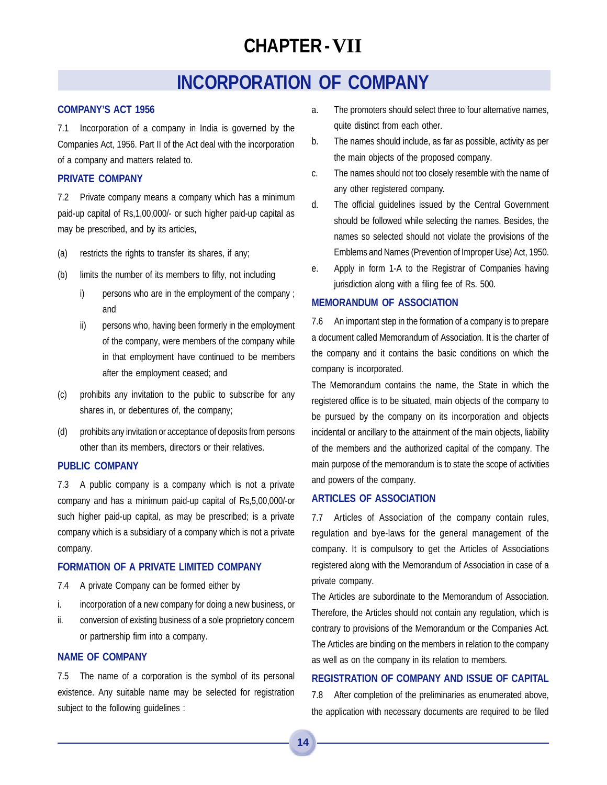## **CHAPTER-VII**

## **INCORPORATION OF COMPANY**

### **COMPANY'S ACT 1956**

7.1 Incorporation of a company in India is governed by the Companies Act, 1956. Part II of the Act deal with the incorporation of a company and matters related to.

### **PRIVATE COMPANY**

7.2 Private company means a company which has a minimum paid-up capital of Rs,1,00,000/- or such higher paid-up capital as may be prescribed, and by its articles,

- (a) restricts the rights to transfer its shares, if any;
- (b) limits the number of its members to fifty, not including
	- i) persons who are in the employment of the company ; and
	- ii) persons who, having been formerly in the employment of the company, were members of the company while in that employment have continued to be members after the employment ceased; and
- (c) prohibits any invitation to the public to subscribe for any shares in, or debentures of, the company;
- (d) prohibits any invitation or acceptance of deposits from persons other than its members, directors or their relatives.

#### **PUBLIC COMPANY**

7.3 A public company is a company which is not a private company and has a minimum paid-up capital of Rs,5,00,000/-or such higher paid-up capital, as may be prescribed; is a private company which is a subsidiary of a company which is not a private company.

### **FORMATION OF A PRIVATE LIMITED COMPANY**

- 7.4 A private Company can be formed either by
- i. incorporation of a new company for doing a new business, or
- ii. conversion of existing business of a sole proprietory concern or partnership firm into a company.

### **NAME OF COMPANY**

7.5 The name of a corporation is the symbol of its personal existence. Any suitable name may be selected for registration subject to the following guidelines :

- a. The promoters should select three to four alternative names, quite distinct from each other.
- b. The names should include, as far as possible, activity as per the main objects of the proposed company.
- c. The names should not too closely resemble with the name of any other registered company.
- d. The official guidelines issued by the Central Government should be followed while selecting the names. Besides, the names so selected should not violate the provisions of the Emblems and Names (Prevention of Improper Use) Act, 1950.
- e. Apply in form 1-A to the Registrar of Companies having jurisdiction along with a filing fee of Rs. 500.

#### **MEMORANDUM OF ASSOCIATION**

7.6 An important step in the formation of a company is to prepare a document called Memorandum of Association. It is the charter of the company and it contains the basic conditions on which the company is incorporated.

The Memorandum contains the name, the State in which the registered office is to be situated, main objects of the company to be pursued by the company on its incorporation and objects incidental or ancillary to the attainment of the main objects, liability of the members and the authorized capital of the company. The main purpose of the memorandum is to state the scope of activities and powers of the company.

### **ARTICLES OF ASSOCIATION**

7.7 Articles of Association of the company contain rules, regulation and bye-laws for the general management of the company. It is compulsory to get the Articles of Associations registered along with the Memorandum of Association in case of a private company.

The Articles are subordinate to the Memorandum of Association. Therefore, the Articles should not contain any regulation, which is contrary to provisions of the Memorandum or the Companies Act. The Articles are binding on the members in relation to the company as well as on the company in its relation to members.

### **REGISTRATION OF COMPANY AND ISSUE OF CAPITAL**

7.8 After completion of the preliminaries as enumerated above, the application with necessary documents are required to be filed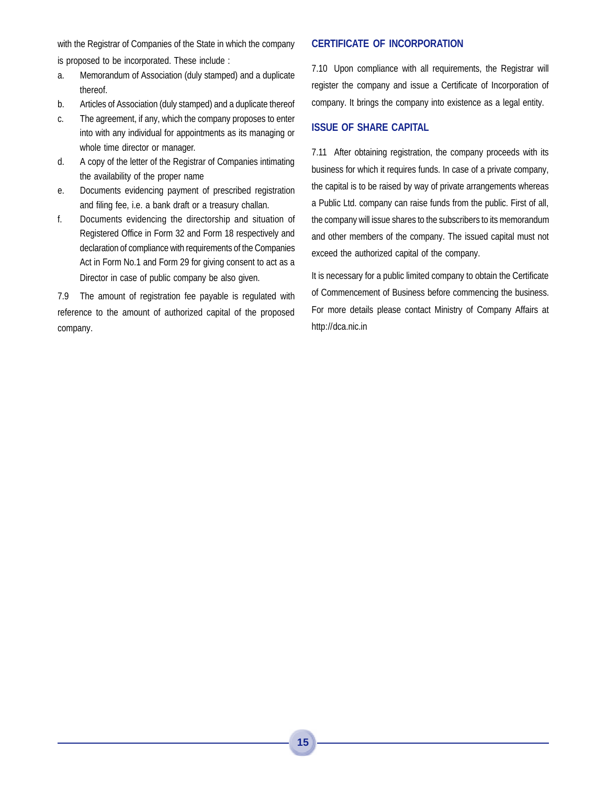with the Registrar of Companies of the State in which the company is proposed to be incorporated. These include :

- a. Memorandum of Association (duly stamped) and a duplicate thereof.
- b. Articles of Association (duly stamped) and a duplicate thereof
- c. The agreement, if any, which the company proposes to enter into with any individual for appointments as its managing or whole time director or manager.
- d. A copy of the letter of the Registrar of Companies intimating the availability of the proper name
- e. Documents evidencing payment of prescribed registration and filing fee, i.e. a bank draft or a treasury challan.
- f. Documents evidencing the directorship and situation of Registered Office in Form 32 and Form 18 respectively and declaration of compliance with requirements of the Companies Act in Form No.1 and Form 29 for giving consent to act as a Director in case of public company be also given.

7.9 The amount of registration fee payable is regulated with reference to the amount of authorized capital of the proposed company.

### **CERTIFICATE OF INCORPORATION**

7.10 Upon compliance with all requirements, the Registrar will register the company and issue a Certificate of Incorporation of company. It brings the company into existence as a legal entity.

### **ISSUE OF SHARE CAPITAL**

7.11 After obtaining registration, the company proceeds with its business for which it requires funds. In case of a private company, the capital is to be raised by way of private arrangements whereas a Public Ltd. company can raise funds from the public. First of all, the company will issue shares to the subscribers to its memorandum and other members of the company. The issued capital must not exceed the authorized capital of the company.

It is necessary for a public limited company to obtain the Certificate of Commencement of Business before commencing the business. For more details please contact Ministry of Company Affairs at http://dca.nic.in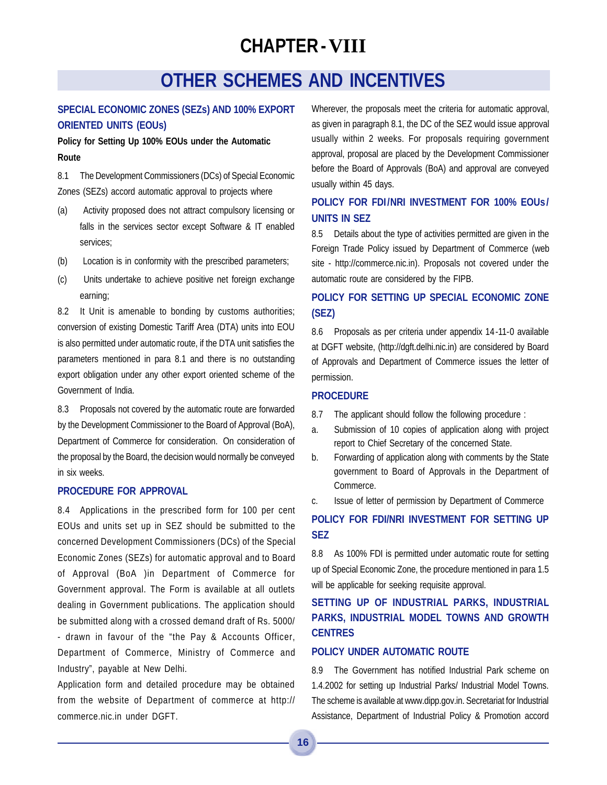## **CHAPTER-VIII**

## **OTHER SCHEMES AND INCENTIVES**

### **SPECIAL ECONOMIC ZONES (SEZs) AND 100% EXPORT ORIENTED UNITS (EOUs)**

### **Policy for Setting Up 100% EOUs under the Automatic Route**

8.1 The Development Commissioners (DCs) of Special Economic Zones (SEZs) accord automatic approval to projects where

- (a) Activity proposed does not attract compulsory licensing or falls in the services sector except Software & IT enabled services;
- (b) Location is in conformity with the prescribed parameters;
- (c) Units undertake to achieve positive net foreign exchange earning;

8.2 It Unit is amenable to bonding by customs authorities; conversion of existing Domestic Tariff Area (DTA) units into EOU is also permitted under automatic route, if the DTA unit satisfies the parameters mentioned in para 8.1 and there is no outstanding export obligation under any other export oriented scheme of the Government of India.

8.3 Proposals not covered by the automatic route are forwarded by the Development Commissioner to the Board of Approval (BoA), Department of Commerce for consideration. On consideration of the proposal by the Board, the decision would normally be conveyed in six weeks.

### **PROCEDURE FOR APPROVAL**

8.4 Applications in the prescribed form for 100 per cent EOUs and units set up in SEZ should be submitted to the concerned Development Commissioners (DCs) of the Special Economic Zones (SEZs) for automatic approval and to Board of Approval (BoA )in Department of Commerce for Government approval. The Form is available at all outlets dealing in Government publications. The application should be submitted along with a crossed demand draft of Rs. 5000/ - drawn in favour of the "the Pay & Accounts Officer, Department of Commerce, Ministry of Commerce and Industry", payable at New Delhi.

Application form and detailed procedure may be obtained from the website of Department of commerce at http:// commerce.nic.in under DGFT.

Wherever, the proposals meet the criteria for automatic approval, as given in paragraph 8.1, the DC of the SEZ would issue approval usually within 2 weeks. For proposals requiring government approval, proposal are placed by the Development Commissioner before the Board of Approvals (BoA) and approval are conveyed usually within 45 days.

### **POLICY FOR FDI/NRI INVESTMENT FOR 100% EOUs/ UNITS IN SEZ**

8.5 Details about the type of activities permitted are given in the Foreign Trade Policy issued by Department of Commerce (web site - http://commerce.nic.in). Proposals not covered under the automatic route are considered by the FIPB.

### **POLICY FOR SETTING UP SPECIAL ECONOMIC ZONE (SEZ)**

8.6 Proposals as per criteria under appendix 14-11-0 available at DGFT website, (http://dgft.delhi.nic.in) are considered by Board of Approvals and Department of Commerce issues the letter of permission.

#### **PROCEDURE**

- 8.7 The applicant should follow the following procedure :
- a. Submission of 10 copies of application along with project report to Chief Secretary of the concerned State.
- b. Forwarding of application along with comments by the State government to Board of Approvals in the Department of Commerce.
- c. Issue of letter of permission by Department of Commerce

### **POLICY FOR FDI/NRI INVESTMENT FOR SETTING UP SEZ**

8.8 As 100% FDI is permitted under automatic route for setting up of Special Economic Zone, the procedure mentioned in para 1.5 will be applicable for seeking requisite approval.

### **SETTING UP OF INDUSTRIAL PARKS, INDUSTRIAL PARKS, INDUSTRIAL MODEL TOWNS AND GROWTH CENTRES**

#### **POLICY UNDER AUTOMATIC ROUTE**

8.9 The Government has notified Industrial Park scheme on 1.4.2002 for setting up Industrial Parks/ Industrial Model Towns. The scheme is available at www.dipp.gov.in. Secretariat for Industrial Assistance, Department of Industrial Policy & Promotion accord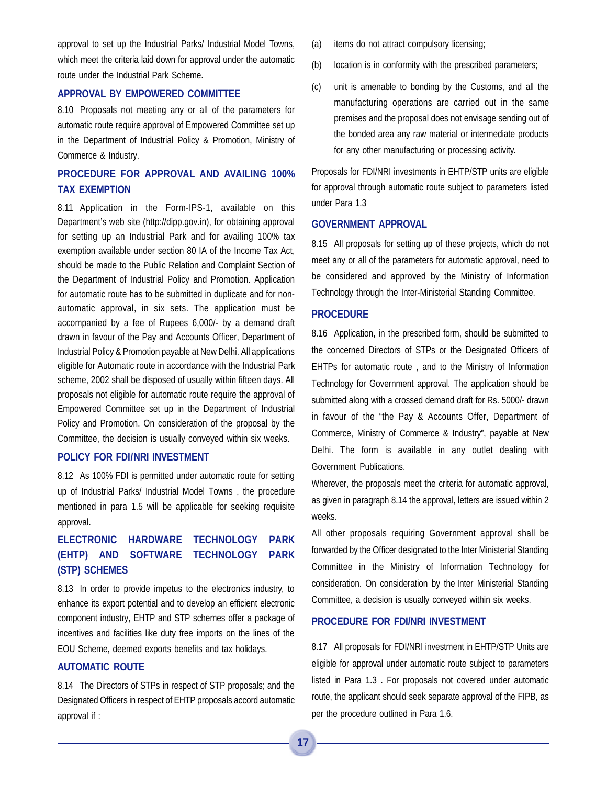approval to set up the Industrial Parks/ Industrial Model Towns, which meet the criteria laid down for approval under the automatic route under the Industrial Park Scheme.

#### **APPROVAL BY EMPOWERED COMMITTEE**

8.10 Proposals not meeting any or all of the parameters for automatic route require approval of Empowered Committee set up in the Department of Industrial Policy & Promotion, Ministry of Commerce & Industry.

### **PROCEDURE FOR APPROVAL AND AVAILING 100% TAX EXEMPTION**

8.11 Application in the Form-IPS-1, available on this Department's web site (http://dipp.gov.in), for obtaining approval for setting up an Industrial Park and for availing 100% tax exemption available under section 80 IA of the Income Tax Act, should be made to the Public Relation and Complaint Section of the Department of Industrial Policy and Promotion. Application for automatic route has to be submitted in duplicate and for nonautomatic approval, in six sets. The application must be accompanied by a fee of Rupees 6,000/- by a demand draft drawn in favour of the Pay and Accounts Officer, Department of Industrial Policy & Promotion payable at New Delhi. All applications eligible for Automatic route in accordance with the Industrial Park scheme, 2002 shall be disposed of usually within fifteen days. All proposals not eligible for automatic route require the approval of Empowered Committee set up in the Department of Industrial Policy and Promotion. On consideration of the proposal by the Committee, the decision is usually conveyed within six weeks.

### **POLICY FOR FDI/NRI INVESTMENT**

8.12 As 100% FDI is permitted under automatic route for setting up of Industrial Parks/ Industrial Model Towns , the procedure mentioned in para 1.5 will be applicable for seeking requisite approval.

### **ELECTRONIC HARDWARE TECHNOLOGY PARK (EHTP) AND SOFTWARE TECHNOLOGY PARK (STP) SCHEMES**

8.13 In order to provide impetus to the electronics industry, to enhance its export potential and to develop an efficient electronic component industry, EHTP and STP schemes offer a package of incentives and facilities like duty free imports on the lines of the EOU Scheme, deemed exports benefits and tax holidays.

#### **AUTOMATIC ROUTE**

8.14 The Directors of STPs in respect of STP proposals; and the Designated Officers in respect of EHTP proposals accord automatic approval if :

- (a) items do not attract compulsory licensing;
- (b) location is in conformity with the prescribed parameters;
- (c) unit is amenable to bonding by the Customs, and all the manufacturing operations are carried out in the same premises and the proposal does not envisage sending out of the bonded area any raw material or intermediate products for any other manufacturing or processing activity.

Proposals for FDI/NRI investments in EHTP/STP units are eligible for approval through automatic route subject to parameters listed under Para 1.3

#### **GOVERNMENT APPROVAL**

8.15 All proposals for setting up of these projects, which do not meet any or all of the parameters for automatic approval, need to be considered and approved by the Ministry of Information Technology through the Inter-Ministerial Standing Committee.

#### **PROCEDURE**

8.16 Application, in the prescribed form, should be submitted to the concerned Directors of STPs or the Designated Officers of EHTPs for automatic route , and to the Ministry of Information Technology for Government approval. The application should be submitted along with a crossed demand draft for Rs. 5000/- drawn in favour of the "the Pay & Accounts Offer, Department of Commerce, Ministry of Commerce & Industry", payable at New Delhi. The form is available in any outlet dealing with Government Publications.

Wherever, the proposals meet the criteria for automatic approval, as given in paragraph 8.14 the approval, letters are issued within 2 weeks.

All other proposals requiring Government approval shall be forwarded by the Officer designated to the Inter Ministerial Standing Committee in the Ministry of Information Technology for consideration. On consideration by the Inter Ministerial Standing Committee, a decision is usually conveyed within six weeks.

### **PROCEDURE FOR FDI/NRI INVESTMENT**

8.17 All proposals for FDI/NRI investment in EHTP/STP Units are eligible for approval under automatic route subject to parameters listed in Para 1.3 . For proposals not covered under automatic route, the applicant should seek separate approval of the FIPB, as per the procedure outlined in Para 1.6.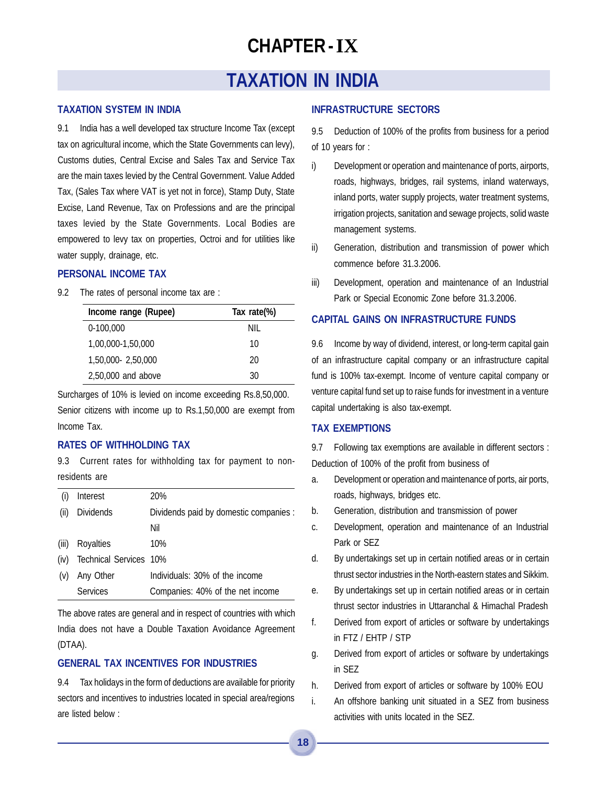## **CHAPTER-IX**

## **TAXATION IN INDIA**

### **TAXATION SYSTEM IN INDIA**

9.1 India has a well developed tax structure Income Tax (except tax on agricultural income, which the State Governments can levy), Customs duties, Central Excise and Sales Tax and Service Tax are the main taxes levied by the Central Government. Value Added Tax, (Sales Tax where VAT is yet not in force), Stamp Duty, State Excise, Land Revenue, Tax on Professions and are the principal taxes levied by the State Governments. Local Bodies are empowered to levy tax on properties, Octroi and for utilities like water supply, drainage, etc.

#### **PERSONAL INCOME TAX**

9.2 The rates of personal income tax are :

| Income range (Rupee) | Tax rate $(\%)$ |
|----------------------|-----------------|
| 0-100,000            | nil             |
| 1,00,000-1,50,000    | 10              |
| 1,50,000-2,50,000    | 20              |
| 2,50,000 and above   | 30              |

Surcharges of 10% is levied on income exceeding Rs.8,50,000.

Senior citizens with income up to Rs.1,50,000 are exempt from Income Tax.

### **RATES OF WITHHOLDING TAX**

9.3 Current rates for withholding tax for payment to nonresidents are

| (i)   | Interest               | 20%                                    |
|-------|------------------------|----------------------------------------|
| (ii)  | <b>Dividends</b>       | Dividends paid by domestic companies : |
|       |                        | Nil                                    |
| (iii) | Royalties              | 10%                                    |
| (iv)  | Technical Services 10% |                                        |
| (v)   | Any Other              | Individuals: 30% of the income         |
|       | <b>Services</b>        | Companies: 40% of the net income       |
|       |                        |                                        |

The above rates are general and in respect of countries with which India does not have a Double Taxation Avoidance Agreement (DTAA).

### **GENERAL TAX INCENTIVES FOR INDUSTRIES**

9.4 Tax holidays in the form of deductions are available for priority sectors and incentives to industries located in special area/regions are listed below :

### **INFRASTRUCTURE SECTORS**

9.5 Deduction of 100% of the profits from business for a period of 10 years for :

- i) Development or operation and maintenance of ports, airports, roads, highways, bridges, rail systems, inland waterways, inland ports, water supply projects, water treatment systems, irrigation projects, sanitation and sewage projects, solid waste management systems.
- ii) Generation, distribution and transmission of power which commence before 31.3.2006.
- iii) Development, operation and maintenance of an Industrial Park or Special Economic Zone before 31.3.2006.

### **CAPITAL GAINS ON INFRASTRUCTURE FUNDS**

9.6 Income by way of dividend, interest, or long-term capital gain of an infrastructure capital company or an infrastructure capital fund is 100% tax-exempt. Income of venture capital company or venture capital fund set up to raise funds for investment in a venture capital undertaking is also tax-exempt.

### **TAX EXEMPTIONS**

9.7 Following tax exemptions are available in different sectors : Deduction of 100% of the profit from business of

- a. Development or operation and maintenance of ports, air ports, roads, highways, bridges etc.
- b. Generation, distribution and transmission of power
- c. Development, operation and maintenance of an Industrial Park or SEZ
- d. By undertakings set up in certain notified areas or in certain thrust sector industries in the North-eastern states and Sikkim.
- e. By undertakings set up in certain notified areas or in certain thrust sector industries in Uttaranchal & Himachal Pradesh
- f. Derived from export of articles or software by undertakings in FTZ / EHTP / STP
- g. Derived from export of articles or software by undertakings in SEZ
- h. Derived from export of articles or software by 100% EOU
- i. An offshore banking unit situated in a SEZ from business activities with units located in the SEZ.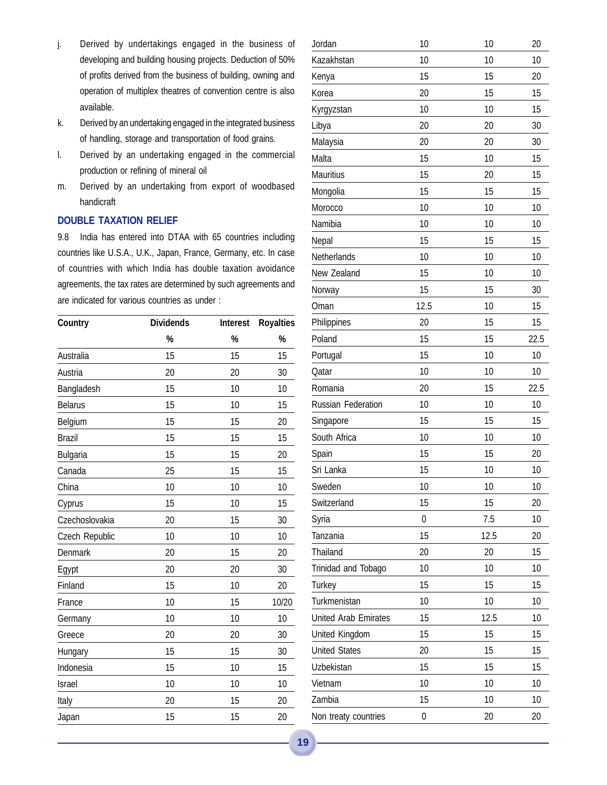- j. Derived by undertakings engaged in the business of developing and building housing projects. Deduction of 50% of profits derived from the business of building, owning and operation of multiplex theatres of convention centre is also available.
- k. Derived by an undertaking engaged in the integrated business of handling, storage and transportation of food grains.
- l. Derived by an undertaking engaged in the commercial production or refining of mineral oil
- m. Derived by an undertaking from export of woodbased handicraft

### **DOUBLE TAXATION RELIEF**

9.8 India has entered into DTAA with 65 countries including countries like U.S.A., U.K., Japan, France, Germany, etc. In case of countries with which India has double taxation avoidance agreements, the tax rates are determined by such agreements and are indicated for various countries as under :

| Country         | <b>Dividends</b> | <b>Interest</b> | <b>Royalties</b> |
|-----------------|------------------|-----------------|------------------|
|                 | %                | %               | %                |
| Australia       | 15               | 15              | 15               |
| Austria         | 20               | 20              | 30               |
| Bangladesh      | 15               | 10              | 10               |
| <b>Belarus</b>  | 15               | 10              | 15               |
| Belgium         | 15               | 15              | 20               |
| <b>Brazil</b>   | 15               | 15              | 15               |
| <b>Bulgaria</b> | 15               | 15              | 20               |
| Canada          | 25               | 15              | 15               |
| China           | 10               | 10              | 10               |
| Cyprus          | 15               | 10              | 15               |
| Czechoslovakia  | 20               | 15              | 30               |
| Czech Republic  | 10               | 10              | 10               |
| Denmark         | 20               | 15              | 20               |
| Egypt           | 20               | 20              | 30               |
| Finland         | 15               | 10              | 20               |
| France          | 10               | 15              | 10/20            |
| Germany         | 10               | 10              | 10               |
| Greece          | 20               | 20              | 30               |
| Hungary         | 15               | 15              | 30               |
| Indonesia       | 15               | 10              | 15               |
| Israel          | 10               | 10              | 10               |
| Italy           | 20               | 15              | 20               |
| Japan           | 15               | 15              | 20               |

| Jordan               | 10   | 10   | 20   |
|----------------------|------|------|------|
| Kazakhstan           | 10   | 10   | 10   |
| Kenya                | 15   | 15   | 20   |
| Korea                | 20   | 15   | 15   |
| Kyrgyzstan           | 10   | 10   | 15   |
| Libya                | 20   | 20   | 30   |
| Malaysia             | 20   | 20   | 30   |
| Malta                | 15   | 10   | 15   |
| <b>Mauritius</b>     | 15   | 20   | 15   |
| Mongolia             | 15   | 15   | 15   |
| Morocco              | 10   | 10   | 10   |
| Namibia              | 10   | 10   | 10   |
| Nepal                | 15   | 15   | 15   |
| Netherlands          | 10   | 10   | 10   |
| New Zealand          | 15   | 10   | 10   |
| Norway               | 15   | 15   | 30   |
| Oman                 | 12.5 | 10   | 15   |
| Philippines          | 20   | 15   | 15   |
| Poland               | 15   | 15   | 22.5 |
| Portugal             | 15   | 10   | 10   |
| Qatar                | 10   | 10   | 10   |
| Romania              | 20   | 15   | 22.5 |
| Russian Federation   | 10   | 10   | 10   |
| Singapore            | 15   | 15   | 15   |
| South Africa         | 10   | 10   | 10   |
| Spain                | 15   | 15   | 20   |
| Sri Lanka            | 15   | 10   | 10   |
| Sweden               | 10   | 10   | 10   |
| Switzerland          | 15   | 15   | 20   |
| Syria                | 0    | 7.5  | 10   |
| <b>Tanzania</b>      | 15   | 12.5 | 20   |
| Thailand             | 20   | 20   | 15   |
| Trinidad and Tobago  | 10   | 10   | 10   |
| <b>Turkey</b>        | 15   | 15   | 15   |
| Turkmenistan         | 10   | 10   | 10   |
| United Arab Emirates | 15   | 12.5 | 10   |
| United Kingdom       | 15   | 15   | 15   |
| <b>United States</b> | 20   | 15   | 15   |
| Uzbekistan           | 15   | 15   | 15   |
| Vietnam              | 10   | 10   | 10   |
| Zambia               | 15   | 10   | 10   |
| Non treaty countries | 0    | 20   | 20   |
|                      |      |      |      |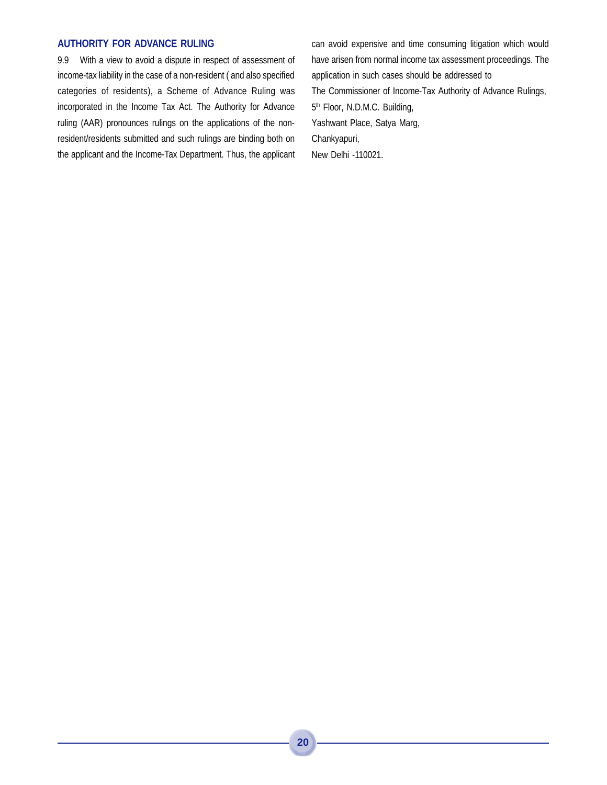### **AUTHORITY FOR ADVANCE RULING**

9.9 With a view to avoid a dispute in respect of assessment of income-tax liability in the case of a non-resident ( and also specified categories of residents), a Scheme of Advance Ruling was incorporated in the Income Tax Act. The Authority for Advance ruling (AAR) pronounces rulings on the applications of the nonresident/residents submitted and such rulings are binding both on the applicant and the Income-Tax Department. Thus, the applicant can avoid expensive and time consuming litigation which would have arisen from normal income tax assessment proceedings. The application in such cases should be addressed to The Commissioner of Income-Tax Authority of Advance Rulings, 5<sup>th</sup> Floor, N.D.M.C. Building, Yashwant Place, Satya Marg, Chankyapuri, New Delhi -110021.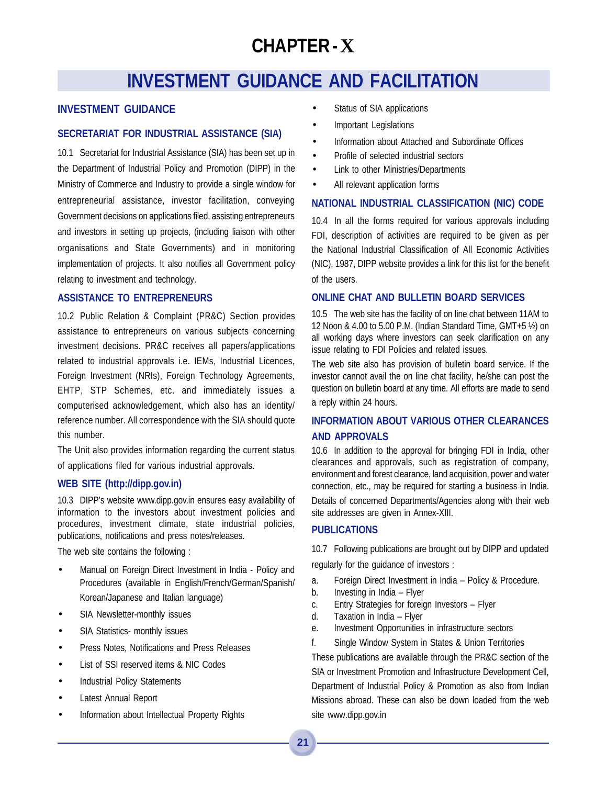## **CHAPTER-X**

## **INVESTMENT GUIDANCE AND FACILITATION**

### **INVESTMENT GUIDANCE**

### **SECRETARIAT FOR INDUSTRIAL ASSISTANCE (SIA)**

10.1 Secretariat for Industrial Assistance (SIA) has been set up in the Department of Industrial Policy and Promotion (DIPP) in the Ministry of Commerce and Industry to provide a single window for entrepreneurial assistance, investor facilitation, conveying Government decisions on applications filed, assisting entrepreneurs and investors in setting up projects, (including liaison with other organisations and State Governments) and in monitoring implementation of projects. It also notifies all Government policy relating to investment and technology.

### **ASSISTANCE TO ENTREPRENEURS**

10.2 Public Relation & Complaint (PR&C) Section provides assistance to entrepreneurs on various subjects concerning investment decisions. PR&C receives all papers/applications related to industrial approvals i.e. IEMs, Industrial Licences, Foreign Investment (NRIs), Foreign Technology Agreements, EHTP, STP Schemes, etc. and immediately issues a computerised acknowledgement, which also has an identity/ reference number. All correspondence with the SIA should quote this number.

The Unit also provides information regarding the current status of applications filed for various industrial approvals.

### **WEB SITE (http://dipp.gov.in)**

10.3 DIPP's website www.dipp.gov.in ensures easy availability of information to the investors about investment policies and procedures, investment climate, state industrial policies, publications, notifications and press notes/releases.

The web site contains the following :

- Manual on Foreign Direct Investment in India Policy and Procedures (available in English/French/German/Spanish/ Korean/Japanese and Italian language)
- SIA Newsletter-monthly issues
- SIA Statistics- monthly issues
- Press Notes, Notifications and Press Releases
- List of SSI reserved items & NIC Codes
- Industrial Policy Statements
- Latest Annual Report
- Information about Intellectual Property Rights
- Status of SIA applications
- Important Legislations
- Information about Attached and Subordinate Offices
- Profile of selected industrial sectors
- Link to other Ministries/Departments
- All relevant application forms

### **NATIONAL INDUSTRIAL CLASSIFICATION (NIC) CODE**

10.4 In all the forms required for various approvals including FDI, description of activities are required to be given as per the National Industrial Classification of All Economic Activities (NIC), 1987, DIPP website provides a link for this list for the benefit of the users.

### **ONLINE CHAT AND BULLETIN BOARD SERVICES**

10.5 The web site has the facility of on line chat between 11AM to 12 Noon & 4.00 to 5.00 P.M. (Indian Standard Time, GMT+5 ½) on all working days where investors can seek clarification on any issue relating to FDI Policies and related issues.

The web site also has provision of bulletin board service. If the investor cannot avail the on line chat facility, he/she can post the question on bulletin board at any time. All efforts are made to send a reply within 24 hours.

### **INFORMATION ABOUT VARIOUS OTHER CLEARANCES AND APPROVALS**

10.6 In addition to the approval for bringing FDI in India, other clearances and approvals, such as registration of company, environment and forest clearance, land acquisition, power and water connection, etc., may be required for starting a business in India.

Details of concerned Departments/Agencies along with their web site addresses are given in Annex-XIII.

### **PUBLICATIONS**

10.7 Following publications are brought out by DIPP and updated

regularly for the guidance of investors :

- a. Foreign Direct Investment in India Policy & Procedure.
- b. Investing in India Flyer
- c. Entry Strategies for foreign Investors Flyer
- d. Taxation in India Flyer
- e. Investment Opportunities in infrastructure sectors
- f. Single Window System in States & Union Territories

These publications are available through the PR&C section of the SIA or Investment Promotion and Infrastructure Development Cell, Department of Industrial Policy & Promotion as also from Indian Missions abroad. These can also be down loaded from the web site www.dipp.gov.in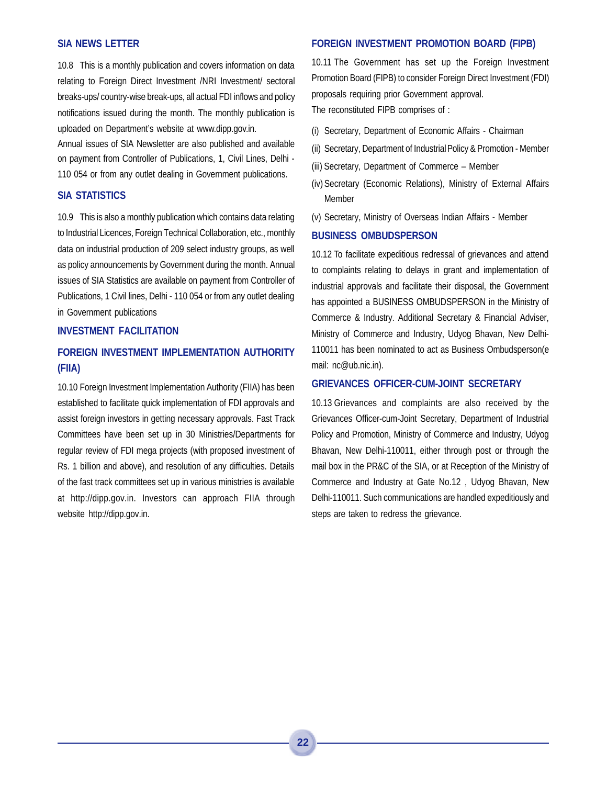### **SIA NEWS LETTER**

10.8 This is a monthly publication and covers information on data relating to Foreign Direct Investment /NRI Investment/ sectoral breaks-ups/ country-wise break-ups, all actual FDI inflows and policy notifications issued during the month. The monthly publication is uploaded on Department's website at www.dipp.gov.in.

Annual issues of SIA Newsletter are also published and available on payment from Controller of Publications, 1, Civil Lines, Delhi - 110 054 or from any outlet dealing in Government publications.

### **SIA STATISTICS**

10.9 This is also a monthly publication which contains data relating to Industrial Licences, Foreign Technical Collaboration, etc., monthly data on industrial production of 209 select industry groups, as well as policy announcements by Government during the month. Annual issues of SIA Statistics are available on payment from Controller of Publications, 1 Civil lines, Delhi - 110 054 or from any outlet dealing in Government publications

#### **INVESTMENT FACILITATION**

### **FOREIGN INVESTMENT IMPLEMENTATION AUTHORITY (FIIA)**

10.10 Foreign Investment Implementation Authority (FIIA) has been established to facilitate quick implementation of FDI approvals and assist foreign investors in getting necessary approvals. Fast Track Committees have been set up in 30 Ministries/Departments for regular review of FDI mega projects (with proposed investment of Rs. 1 billion and above), and resolution of any difficulties. Details of the fast track committees set up in various ministries is available at http://dipp.gov.in. Investors can approach FIIA through website http://dipp.gov.in.

### **FOREIGN INVESTMENT PROMOTION BOARD (FIPB)**

10.11 The Government has set up the Foreign Investment Promotion Board (FIPB) to consider Foreign Direct Investment (FDI) proposals requiring prior Government approval. The reconstituted FIPB comprises of :

- (i) Secretary, Department of Economic Affairs Chairman
- (ii) Secretary, Department of Industrial Policy & Promotion Member
- (iii) Secretary, Department of Commerce Member
- (iv) Secretary (Economic Relations), Ministry of External Affairs Member
- (v) Secretary, Ministry of Overseas Indian Affairs Member

#### **BUSINESS OMBUDSPERSON**

10.12 To facilitate expeditious redressal of grievances and attend to complaints relating to delays in grant and implementation of industrial approvals and facilitate their disposal, the Government has appointed a BUSINESS OMBUDSPERSON in the Ministry of Commerce & Industry. Additional Secretary & Financial Adviser, Ministry of Commerce and Industry, Udyog Bhavan, New Delhi-110011 has been nominated to act as Business Ombudsperson(e mail: nc@ub.nic.in).

### **GRIEVANCES OFFICER-CUM-JOINT SECRETARY**

10.13 Grievances and complaints are also received by the Grievances Officer-cum-Joint Secretary, Department of Industrial Policy and Promotion, Ministry of Commerce and Industry, Udyog Bhavan, New Delhi-110011, either through post or through the mail box in the PR&C of the SIA, or at Reception of the Ministry of Commerce and Industry at Gate No.12 , Udyog Bhavan, New Delhi-110011. Such communications are handled expeditiously and steps are taken to redress the grievance.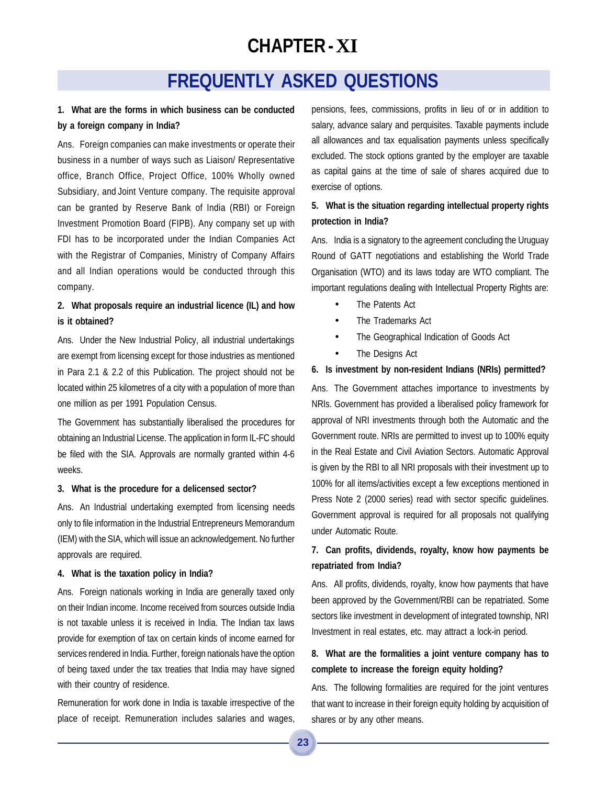## **CHAPTER-XI**

## **FREQUENTLY ASKED QUESTIONS**

### **1. What are the forms in which business can be conducted by a foreign company in India?**

Ans. Foreign companies can make investments or operate their business in a number of ways such as Liaison/ Representative office, Branch Office, Project Office, 100% Wholly owned Subsidiary, and Joint Venture company. The requisite approval can be granted by Reserve Bank of India (RBI) or Foreign Investment Promotion Board (FIPB). Any company set up with FDI has to be incorporated under the Indian Companies Act with the Registrar of Companies, Ministry of Company Affairs and all Indian operations would be conducted through this company.

### **2. What proposals require an industrial licence (IL) and how is it obtained?**

Ans. Under the New Industrial Policy, all industrial undertakings are exempt from licensing except for those industries as mentioned in Para 2.1 & 2.2 of this Publication. The project should not be located within 25 kilometres of a city with a population of more than one million as per 1991 Population Census.

The Government has substantially liberalised the procedures for obtaining an Industrial License. The application in form IL-FC should be filed with the SIA. Approvals are normally granted within 4-6 weeks.

#### **3. What is the procedure for a delicensed sector?**

Ans. An Industrial undertaking exempted from licensing needs only to file information in the Industrial Entrepreneurs Memorandum (IEM) with the SIA, which will issue an acknowledgement. No further approvals are required.

#### **4. What is the taxation policy in India?**

Ans. Foreign nationals working in India are generally taxed only on their Indian income. Income received from sources outside India is not taxable unless it is received in India. The Indian tax laws provide for exemption of tax on certain kinds of income earned for services rendered in India. Further, foreign nationals have the option of being taxed under the tax treaties that India may have signed with their country of residence.

Remuneration for work done in India is taxable irrespective of the place of receipt. Remuneration includes salaries and wages, pensions, fees, commissions, profits in lieu of or in addition to salary, advance salary and perquisites. Taxable payments include all allowances and tax equalisation payments unless specifically excluded. The stock options granted by the employer are taxable as capital gains at the time of sale of shares acquired due to exercise of options.

### **5. What is the situation regarding intellectual property rights protection in India?**

Ans. India is a signatory to the agreement concluding the Uruguay Round of GATT negotiations and establishing the World Trade Organisation (WTO) and its laws today are WTO compliant. The important regulations dealing with Intellectual Property Rights are:

- The Patents Act
- The Trademarks Act
- The Geographical Indication of Goods Act
- The Designs Act

#### **6. Is investment by non-resident Indians (NRIs) permitted?**

Ans. The Government attaches importance to investments by NRIs. Government has provided a liberalised policy framework for approval of NRI investments through both the Automatic and the Government route. NRIs are permitted to invest up to 100% equity in the Real Estate and Civil Aviation Sectors. Automatic Approval is given by the RBI to all NRI proposals with their investment up to 100% for all items/activities except a few exceptions mentioned in Press Note 2 (2000 series) read with sector specific guidelines. Government approval is required for all proposals not qualifying under Automatic Route.

### **7. Can profits, dividends, royalty, know how payments be repatriated from India?**

Ans. All profits, dividends, royalty, know how payments that have been approved by the Government/RBI can be repatriated. Some sectors like investment in development of integrated township, NRI Investment in real estates, etc. may attract a lock-in period.

### **8. What are the formalities a joint venture company has to complete to increase the foreign equity holding?**

Ans. The following formalities are required for the joint ventures that want to increase in their foreign equity holding by acquisition of shares or by any other means.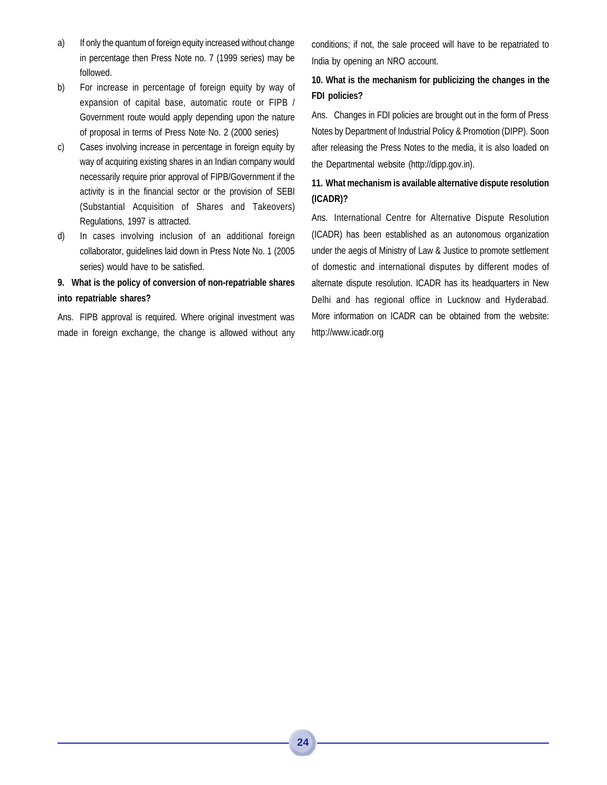- a) If only the quantum of foreign equity increased without change in percentage then Press Note no. 7 (1999 series) may be followed.
- b) For increase in percentage of foreign equity by way of expansion of capital base, automatic route or FIPB / Government route would apply depending upon the nature of proposal in terms of Press Note No. 2 (2000 series)
- c) Cases involving increase in percentage in foreign equity by way of acquiring existing shares in an Indian company would necessarily require prior approval of FIPB/Government if the activity is in the financial sector or the provision of SEBI (Substantial Acquisition of Shares and Takeovers) Regulations, 1997 is attracted.
- d) In cases involving inclusion of an additional foreign collaborator, guidelines laid down in Press Note No. 1 (2005 series) would have to be satisfied.

### **9. What is the policy of conversion of non-repatriable shares into repatriable shares?**

Ans. FIPB approval is required. Where original investment was made in foreign exchange, the change is allowed without any conditions; if not, the sale proceed will have to be repatriated to India by opening an NRO account.

### **10. What is the mechanism for publicizing the changes in the FDI policies?**

Ans. Changes in FDI policies are brought out in the form of Press Notes by Department of Industrial Policy & Promotion (DIPP). Soon after releasing the Press Notes to the media, it is also loaded on the Departmental website (http://dipp.gov.in).

### **11. What mechanism is available alternative dispute resolution (ICADR)?**

Ans. International Centre for Alternative Dispute Resolution (ICADR) has been established as an autonomous organization under the aegis of Ministry of Law & Justice to promote settlement of domestic and international disputes by different modes of alternate dispute resolution. ICADR has its headquarters in New Delhi and has regional office in Lucknow and Hyderabad. More information on ICADR can be obtained from the website: http://www.icadr.org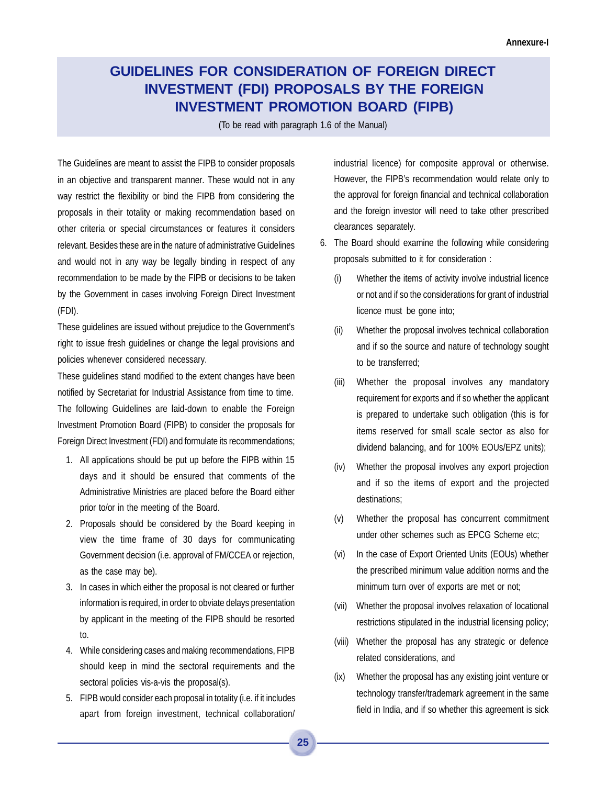### **GUIDELINES FOR CONSIDERATION OF FOREIGN DIRECT INVESTMENT (FDI) PROPOSALS BY THE FOREIGN INVESTMENT PROMOTION BOARD (FIPB)**

(To be read with paragraph 1.6 of the Manual)

The Guidelines are meant to assist the FIPB to consider proposals in an objective and transparent manner. These would not in any way restrict the flexibility or bind the FIPB from considering the proposals in their totality or making recommendation based on other criteria or special circumstances or features it considers relevant. Besides these are in the nature of administrative Guidelines and would not in any way be legally binding in respect of any recommendation to be made by the FIPB or decisions to be taken by the Government in cases involving Foreign Direct Investment (FDI).

These guidelines are issued without prejudice to the Government's right to issue fresh guidelines or change the legal provisions and policies whenever considered necessary.

These guidelines stand modified to the extent changes have been notified by Secretariat for Industrial Assistance from time to time. The following Guidelines are laid-down to enable the Foreign Investment Promotion Board (FIPB) to consider the proposals for Foreign Direct Investment (FDI) and formulate its recommendations;

- 1. All applications should be put up before the FIPB within 15 days and it should be ensured that comments of the Administrative Ministries are placed before the Board either prior to/or in the meeting of the Board.
- 2. Proposals should be considered by the Board keeping in view the time frame of 30 days for communicating Government decision (i.e. approval of FM/CCEA or rejection, as the case may be).
- 3. In cases in which either the proposal is not cleared or further information is required, in order to obviate delays presentation by applicant in the meeting of the FIPB should be resorted to.
- 4. While considering cases and making recommendations, FIPB should keep in mind the sectoral requirements and the sectoral policies vis-a-vis the proposal(s).
- 5. FIPB would consider each proposal in totality (i.e. if it includes apart from foreign investment, technical collaboration/

industrial licence) for composite approval or otherwise. However, the FIPB's recommendation would relate only to the approval for foreign financial and technical collaboration and the foreign investor will need to take other prescribed clearances separately.

- 6. The Board should examine the following while considering proposals submitted to it for consideration :
	- (i) Whether the items of activity involve industrial licence or not and if so the considerations for grant of industrial licence must be gone into;
	- (ii) Whether the proposal involves technical collaboration and if so the source and nature of technology sought to be transferred;
	- (iii) Whether the proposal involves any mandatory requirement for exports and if so whether the applicant is prepared to undertake such obligation (this is for items reserved for small scale sector as also for dividend balancing, and for 100% EOUs/EPZ units);
	- (iv) Whether the proposal involves any export projection and if so the items of export and the projected destinations;
	- (v) Whether the proposal has concurrent commitment under other schemes such as EPCG Scheme etc;
	- (vi) In the case of Export Oriented Units (EOUs) whether the prescribed minimum value addition norms and the minimum turn over of exports are met or not;
	- (vii) Whether the proposal involves relaxation of locational restrictions stipulated in the industrial licensing policy;
	- (viii) Whether the proposal has any strategic or defence related considerations, and
	- (ix) Whether the proposal has any existing joint venture or technology transfer/trademark agreement in the same field in India, and if so whether this agreement is sick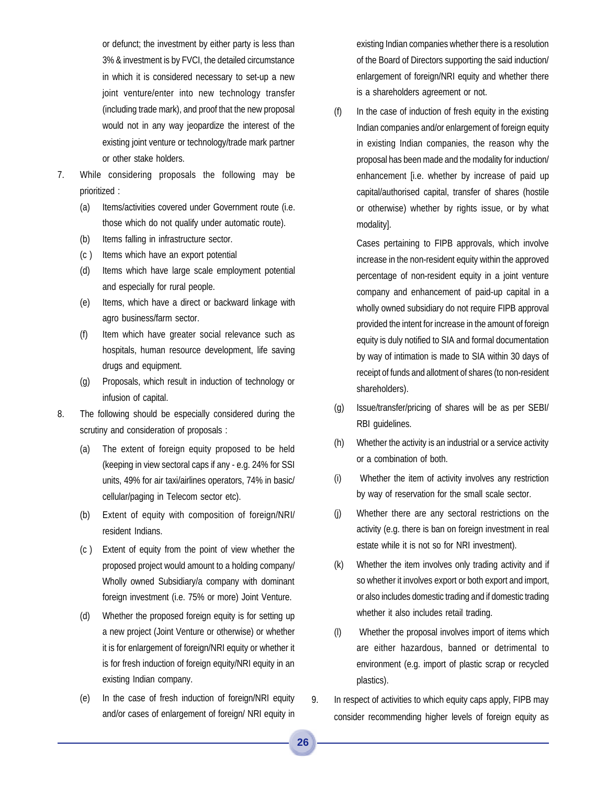or defunct; the investment by either party is less than 3% & investment is by FVCI, the detailed circumstance in which it is considered necessary to set-up a new joint venture/enter into new technology transfer (including trade mark), and proof that the new proposal would not in any way jeopardize the interest of the existing joint venture or technology/trade mark partner or other stake holders.

- 7. While considering proposals the following may be prioritized :
	- (a) Items/activities covered under Government route (i.e. those which do not qualify under automatic route).
	- (b) Items falling in infrastructure sector.
	- (c ) Items which have an export potential
	- (d) Items which have large scale employment potential and especially for rural people.
	- (e) Items, which have a direct or backward linkage with agro business/farm sector.
	- (f) Item which have greater social relevance such as hospitals, human resource development, life saving drugs and equipment.
	- (g) Proposals, which result in induction of technology or infusion of capital.
- 8. The following should be especially considered during the scrutiny and consideration of proposals :
	- (a) The extent of foreign equity proposed to be held (keeping in view sectoral caps if any - e.g. 24% for SSI units, 49% for air taxi/airlines operators, 74% in basic/ cellular/paging in Telecom sector etc).
	- (b) Extent of equity with composition of foreign/NRI/ resident Indians.
	- (c ) Extent of equity from the point of view whether the proposed project would amount to a holding company/ Wholly owned Subsidiary/a company with dominant foreign investment (i.e. 75% or more) Joint Venture.
	- (d) Whether the proposed foreign equity is for setting up a new project (Joint Venture or otherwise) or whether it is for enlargement of foreign/NRI equity or whether it is for fresh induction of foreign equity/NRI equity in an existing Indian company.
	- (e) In the case of fresh induction of foreign/NRI equity and/or cases of enlargement of foreign/ NRI equity in

existing Indian companies whether there is a resolution of the Board of Directors supporting the said induction/ enlargement of foreign/NRI equity and whether there is a shareholders agreement or not.

(f) In the case of induction of fresh equity in the existing Indian companies and/or enlargement of foreign equity in existing Indian companies, the reason why the proposal has been made and the modality for induction/ enhancement [i.e. whether by increase of paid up capital/authorised capital, transfer of shares (hostile or otherwise) whether by rights issue, or by what modality].

> Cases pertaining to FIPB approvals, which involve increase in the non-resident equity within the approved percentage of non-resident equity in a joint venture company and enhancement of paid-up capital in a wholly owned subsidiary do not require FIPB approval provided the intent for increase in the amount of foreign equity is duly notified to SIA and formal documentation by way of intimation is made to SIA within 30 days of receipt of funds and allotment of shares (to non-resident shareholders).

- (g) Issue/transfer/pricing of shares will be as per SEBI/ RBI guidelines.
- (h) Whether the activity is an industrial or a service activity or a combination of both.
- (i) Whether the item of activity involves any restriction by way of reservation for the small scale sector.
- (j) Whether there are any sectoral restrictions on the activity (e.g. there is ban on foreign investment in real estate while it is not so for NRI investment).
- (k) Whether the item involves only trading activity and if so whether it involves export or both export and import, or also includes domestic trading and if domestic trading whether it also includes retail trading.
- (l) Whether the proposal involves import of items which are either hazardous, banned or detrimental to environment (e.g. import of plastic scrap or recycled plastics).
- 9. In respect of activities to which equity caps apply, FIPB may consider recommending higher levels of foreign equity as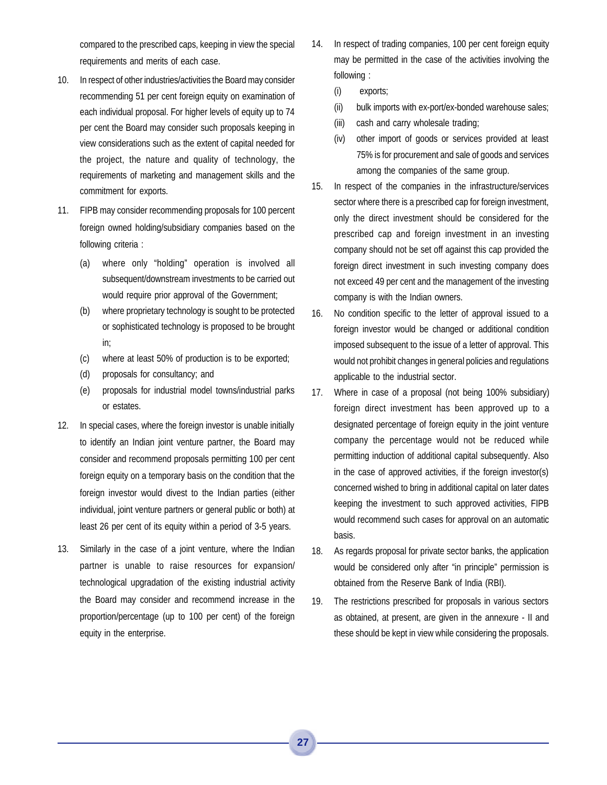compared to the prescribed caps, keeping in view the special requirements and merits of each case.

- 10. In respect of other industries/activities the Board may consider recommending 51 per cent foreign equity on examination of each individual proposal. For higher levels of equity up to 74 per cent the Board may consider such proposals keeping in view considerations such as the extent of capital needed for the project, the nature and quality of technology, the requirements of marketing and management skills and the commitment for exports.
- 11. FIPB may consider recommending proposals for 100 percent foreign owned holding/subsidiary companies based on the following criteria :
	- (a) where only "holding" operation is involved all subsequent/downstream investments to be carried out would require prior approval of the Government;
	- (b) where proprietary technology is sought to be protected or sophisticated technology is proposed to be brought in;
	- (c) where at least 50% of production is to be exported;
	- (d) proposals for consultancy; and
	- (e) proposals for industrial model towns/industrial parks or estates.
- 12. In special cases, where the foreign investor is unable initially to identify an Indian joint venture partner, the Board may consider and recommend proposals permitting 100 per cent foreign equity on a temporary basis on the condition that the foreign investor would divest to the Indian parties (either individual, joint venture partners or general public or both) at least 26 per cent of its equity within a period of 3-5 years.
- 13. Similarly in the case of a joint venture, where the Indian partner is unable to raise resources for expansion/ technological upgradation of the existing industrial activity the Board may consider and recommend increase in the proportion/percentage (up to 100 per cent) of the foreign equity in the enterprise.
- 14. In respect of trading companies, 100 per cent foreign equity may be permitted in the case of the activities involving the following :
	- (i) exports;
	- (ii) bulk imports with ex-port/ex-bonded warehouse sales;
	- (iii) cash and carry wholesale trading;
	- (iv) other import of goods or services provided at least 75% is for procurement and sale of goods and services among the companies of the same group.
- 15. In respect of the companies in the infrastructure/services sector where there is a prescribed cap for foreign investment, only the direct investment should be considered for the prescribed cap and foreign investment in an investing company should not be set off against this cap provided the foreign direct investment in such investing company does not exceed 49 per cent and the management of the investing company is with the Indian owners.
- 16. No condition specific to the letter of approval issued to a foreign investor would be changed or additional condition imposed subsequent to the issue of a letter of approval. This would not prohibit changes in general policies and regulations applicable to the industrial sector.
- 17. Where in case of a proposal (not being 100% subsidiary) foreign direct investment has been approved up to a designated percentage of foreign equity in the joint venture company the percentage would not be reduced while permitting induction of additional capital subsequently. Also in the case of approved activities, if the foreign investor(s) concerned wished to bring in additional capital on later dates keeping the investment to such approved activities, FIPB would recommend such cases for approval on an automatic basis.
- 18. As regards proposal for private sector banks, the application would be considered only after "in principle" permission is obtained from the Reserve Bank of India (RBI).
- 19. The restrictions prescribed for proposals in various sectors as obtained, at present, are given in the annexure - II and these should be kept in view while considering the proposals.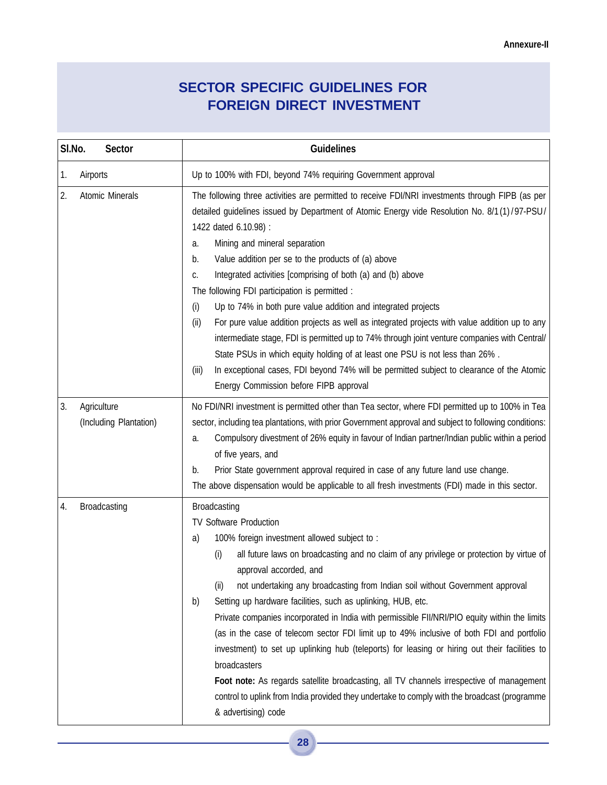### **SECTOR SPECIFIC GUIDELINES FOR FOREIGN DIRECT INVESTMENT**

| SI.No.<br><b>Sector</b>                     | <b>Guidelines</b>                                                                                                                                                                                                                                                                                                                                                                                                                                                                                                                                                                                                                                                                                                                                                                                                                                                                                                                                                   |
|---------------------------------------------|---------------------------------------------------------------------------------------------------------------------------------------------------------------------------------------------------------------------------------------------------------------------------------------------------------------------------------------------------------------------------------------------------------------------------------------------------------------------------------------------------------------------------------------------------------------------------------------------------------------------------------------------------------------------------------------------------------------------------------------------------------------------------------------------------------------------------------------------------------------------------------------------------------------------------------------------------------------------|
| Airports<br>1.                              | Up to 100% with FDI, beyond 74% requiring Government approval                                                                                                                                                                                                                                                                                                                                                                                                                                                                                                                                                                                                                                                                                                                                                                                                                                                                                                       |
| 2.<br><b>Atomic Minerals</b>                | The following three activities are permitted to receive FDI/NRI investments through FIPB (as per<br>detailed guidelines issued by Department of Atomic Energy vide Resolution No. 8/1(1)/97-PSU/<br>1422 dated 6.10.98):<br>Mining and mineral separation<br>a.<br>Value addition per se to the products of (a) above<br>b.<br>Integrated activities [comprising of both (a) and (b) above<br>c.<br>The following FDI participation is permitted :<br>Up to 74% in both pure value addition and integrated projects<br>(i)<br>For pure value addition projects as well as integrated projects with value addition up to any<br>(ii)<br>intermediate stage, FDI is permitted up to 74% through joint venture companies with Central/<br>State PSUs in which equity holding of at least one PSU is not less than 26%.<br>In exceptional cases, FDI beyond 74% will be permitted subject to clearance of the Atomic<br>(iii)<br>Energy Commission before FIPB approval |
| Agriculture<br>3.<br>(Including Plantation) | No FDI/NRI investment is permitted other than Tea sector, where FDI permitted up to 100% in Tea<br>sector, including tea plantations, with prior Government approval and subject to following conditions:<br>Compulsory divestment of 26% equity in favour of Indian partner/Indian public within a period<br>a.<br>of five years, and<br>Prior State government approval required in case of any future land use change.<br>b.<br>The above dispensation would be applicable to all fresh investments (FDI) made in this sector.                                                                                                                                                                                                                                                                                                                                                                                                                                   |
| Broadcasting<br>4.                          | Broadcasting<br>TV Software Production<br>100% foreign investment allowed subject to:<br>a)<br>all future laws on broadcasting and no claim of any privilege or protection by virtue of<br>(i)<br>approval accorded, and<br>not undertaking any broadcasting from Indian soil without Government approval<br>(ii)<br>Setting up hardware facilities, such as uplinking, HUB, etc.<br>b)<br>Private companies incorporated in India with permissible FII/NRI/PIO equity within the limits<br>(as in the case of telecom sector FDI limit up to 49% inclusive of both FDI and portfolio<br>investment) to set up uplinking hub (teleports) for leasing or hiring out their facilities to<br>broadcasters<br>Foot note: As regards satellite broadcasting, all TV channels irrespective of management<br>control to uplink from India provided they undertake to comply with the broadcast (programme<br>& advertising) code                                           |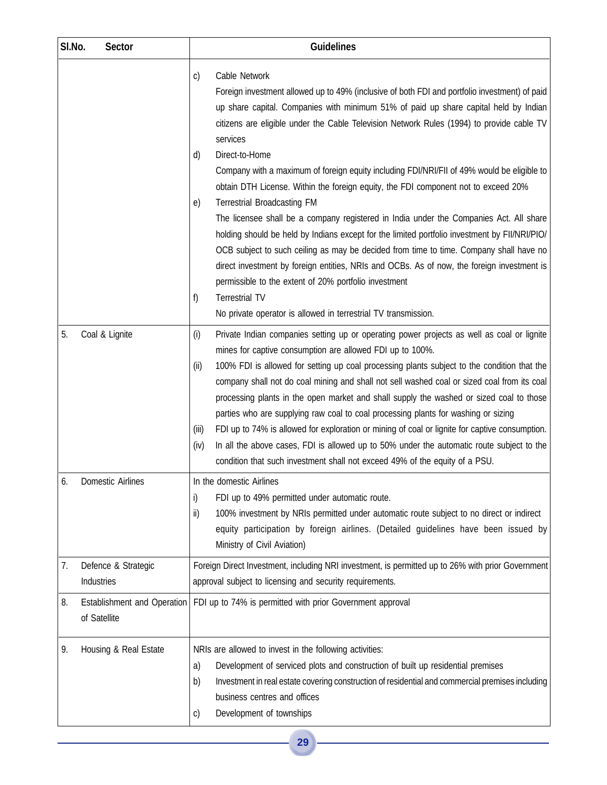| SI.No. | <b>Sector</b>                               | <b>Guidelines</b>                                                                                                                                                                                                                                                                                                                                                                                                                                                                                                                                                                                                                                                                                                                                                                                                                                                                                                                                                                                                                                                                                                          |
|--------|---------------------------------------------|----------------------------------------------------------------------------------------------------------------------------------------------------------------------------------------------------------------------------------------------------------------------------------------------------------------------------------------------------------------------------------------------------------------------------------------------------------------------------------------------------------------------------------------------------------------------------------------------------------------------------------------------------------------------------------------------------------------------------------------------------------------------------------------------------------------------------------------------------------------------------------------------------------------------------------------------------------------------------------------------------------------------------------------------------------------------------------------------------------------------------|
|        |                                             | Cable Network<br>C)<br>Foreign investment allowed up to 49% (inclusive of both FDI and portfolio investment) of paid<br>up share capital. Companies with minimum 51% of paid up share capital held by Indian<br>citizens are eligible under the Cable Television Network Rules (1994) to provide cable TV<br>services<br>Direct-to-Home<br>d)<br>Company with a maximum of foreign equity including FDI/NRI/FII of 49% would be eligible to<br>obtain DTH License. Within the foreign equity, the FDI component not to exceed 20%<br><b>Terrestrial Broadcasting FM</b><br>e)<br>The licensee shall be a company registered in India under the Companies Act. All share<br>holding should be held by Indians except for the limited portfolio investment by FII/NRI/PIO/<br>OCB subject to such ceiling as may be decided from time to time. Company shall have no<br>direct investment by foreign entities, NRIs and OCBs. As of now, the foreign investment is<br>permissible to the extent of 20% portfolio investment<br><b>Terrestrial TV</b><br>f)<br>No private operator is allowed in terrestrial TV transmission. |
| 5.     | Coal & Lignite                              | Private Indian companies setting up or operating power projects as well as coal or lignite<br>(i)<br>mines for captive consumption are allowed FDI up to 100%.<br>100% FDI is allowed for setting up coal processing plants subject to the condition that the<br>(ii)<br>company shall not do coal mining and shall not sell washed coal or sized coal from its coal<br>processing plants in the open market and shall supply the washed or sized coal to those<br>parties who are supplying raw coal to coal processing plants for washing or sizing<br>FDI up to 74% is allowed for exploration or mining of coal or lignite for captive consumption.<br>(iii)<br>In all the above cases, FDI is allowed up to 50% under the automatic route subject to the<br>(iv)<br>condition that such investment shall not exceed 49% of the equity of a PSU.                                                                                                                                                                                                                                                                       |
| 6.     | Domestic Airlines                           | In the domestic Airlines<br>i)<br>FDI up to 49% permitted under automatic route.<br>100% investment by NRIs permitted under automatic route subject to no direct or indirect<br>ii)<br>equity participation by foreign airlines. (Detailed guidelines have been issued by<br>Ministry of Civil Aviation)                                                                                                                                                                                                                                                                                                                                                                                                                                                                                                                                                                                                                                                                                                                                                                                                                   |
| 7.     | Defence & Strategic<br>Industries           | Foreign Direct Investment, including NRI investment, is permitted up to 26% with prior Government<br>approval subject to licensing and security requirements.                                                                                                                                                                                                                                                                                                                                                                                                                                                                                                                                                                                                                                                                                                                                                                                                                                                                                                                                                              |
| 8.     | Establishment and Operation<br>of Satellite | FDI up to 74% is permitted with prior Government approval                                                                                                                                                                                                                                                                                                                                                                                                                                                                                                                                                                                                                                                                                                                                                                                                                                                                                                                                                                                                                                                                  |
| 9.     | Housing & Real Estate                       | NRIs are allowed to invest in the following activities:<br>Development of serviced plots and construction of built up residential premises<br>a)<br>Investment in real estate covering construction of residential and commercial premises including<br>b)<br>business centres and offices<br>Development of townships<br>C)                                                                                                                                                                                                                                                                                                                                                                                                                                                                                                                                                                                                                                                                                                                                                                                               |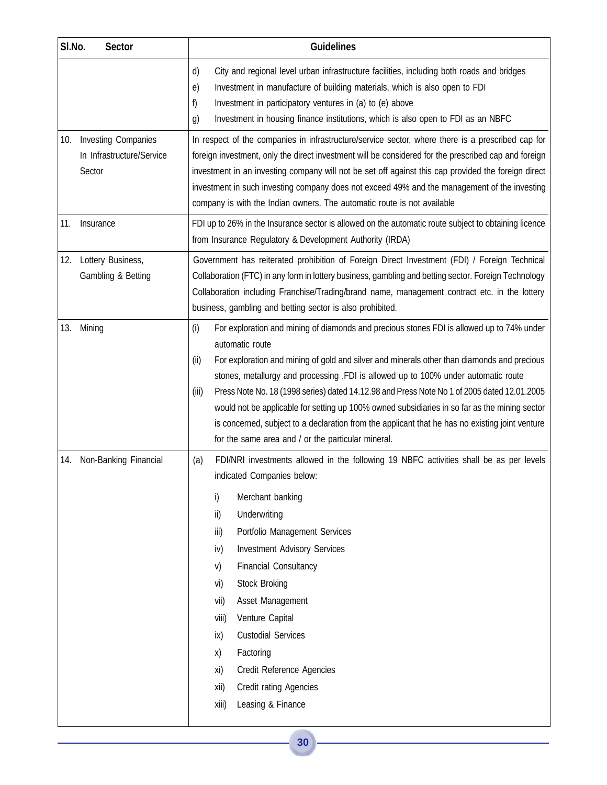| SI.No.<br><b>Sector</b> |                                                                   | <b>Guidelines</b>                                                                                                                                                                                                                                                                                                                                                                                                                                                                                                                                                                                                                                                                  |
|-------------------------|-------------------------------------------------------------------|------------------------------------------------------------------------------------------------------------------------------------------------------------------------------------------------------------------------------------------------------------------------------------------------------------------------------------------------------------------------------------------------------------------------------------------------------------------------------------------------------------------------------------------------------------------------------------------------------------------------------------------------------------------------------------|
|                         |                                                                   | City and regional level urban infrastructure facilities, including both roads and bridges<br>d)<br>Investment in manufacture of building materials, which is also open to FDI<br>e)<br>Investment in participatory ventures in (a) to (e) above<br>f)<br>Investment in housing finance institutions, which is also open to FDI as an NBFC<br>g)                                                                                                                                                                                                                                                                                                                                    |
| 10.                     | <b>Investing Companies</b><br>In Infrastructure/Service<br>Sector | In respect of the companies in infrastructure/service sector, where there is a prescribed cap for<br>foreign investment, only the direct investment will be considered for the prescribed cap and foreign<br>investment in an investing company will not be set off against this cap provided the foreign direct<br>investment in such investing company does not exceed 49% and the management of the investing<br>company is with the Indian owners. The automatic route is not available                                                                                                                                                                                        |
| 11.                     | Insurance                                                         | FDI up to 26% in the Insurance sector is allowed on the automatic route subject to obtaining licence<br>from Insurance Regulatory & Development Authority (IRDA)                                                                                                                                                                                                                                                                                                                                                                                                                                                                                                                   |
|                         | 12. Lottery Business,<br>Gambling & Betting                       | Government has reiterated prohibition of Foreign Direct Investment (FDI) / Foreign Technical<br>Collaboration (FTC) in any form in lottery business, gambling and betting sector. Foreign Technology<br>Collaboration including Franchise/Trading/brand name, management contract etc. in the lottery<br>business, gambling and betting sector is also prohibited.                                                                                                                                                                                                                                                                                                                 |
| 13.                     | Mining                                                            | For exploration and mining of diamonds and precious stones FDI is allowed up to 74% under<br>(i)<br>automatic route<br>For exploration and mining of gold and silver and minerals other than diamonds and precious<br>(ii)<br>stones, metallurgy and processing ,FDI is allowed up to 100% under automatic route<br>Press Note No. 18 (1998 series) dated 14.12.98 and Press Note No 1 of 2005 dated 12.01.2005<br>(iii)<br>would not be applicable for setting up 100% owned subsidiaries in so far as the mining sector<br>is concerned, subject to a declaration from the applicant that he has no existing joint venture<br>for the same area and / or the particular mineral. |
| 14.                     | Non-Banking Financial                                             | FDI/NRI investments allowed in the following 19 NBFC activities shall be as per levels<br>(a)<br>indicated Companies below:<br>i)<br>Merchant banking<br>ii)<br>Underwriting<br>iii)<br>Portfolio Management Services<br><b>Investment Advisory Services</b><br>iv)<br><b>Financial Consultancy</b><br>V)<br>Stock Broking<br>vi)<br>Asset Management<br>vii)<br>Venture Capital<br>viii)<br><b>Custodial Services</b><br>ix)<br>Factoring<br>X)<br>Credit Reference Agencies<br>xi)<br>Credit rating Agencies<br>xii)<br>Leasing & Finance<br>xiii)                                                                                                                               |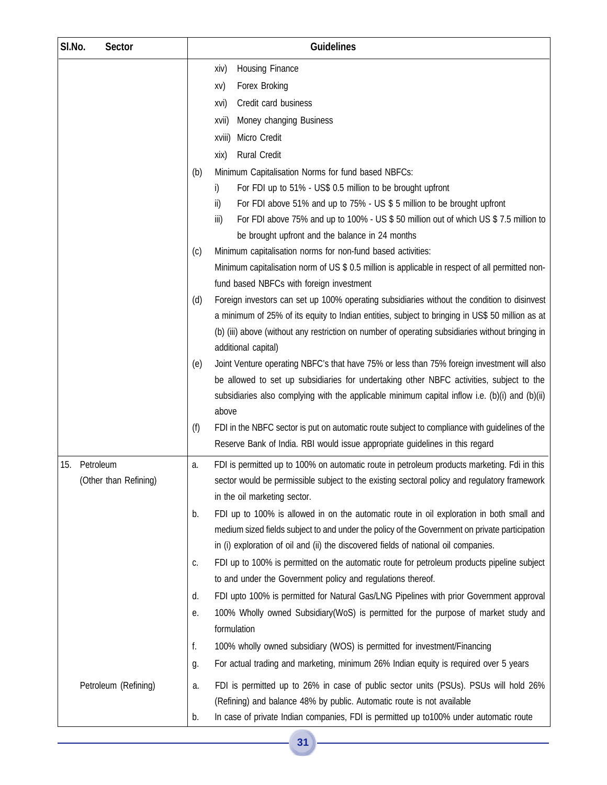| SI.No.<br><b>Sector</b>                   | <b>Guidelines</b>                                                                                                                                                                                                                                                                                                                                                                                               |
|-------------------------------------------|-----------------------------------------------------------------------------------------------------------------------------------------------------------------------------------------------------------------------------------------------------------------------------------------------------------------------------------------------------------------------------------------------------------------|
|                                           | Housing Finance<br>xiv)<br>Forex Broking<br>XV)<br>Credit card business<br>xvi)<br>Money changing Business<br>XVII)<br>Micro Credit<br>xviii)<br><b>Rural Credit</b><br>xix)                                                                                                                                                                                                                                    |
|                                           | Minimum Capitalisation Norms for fund based NBFCs:<br>(b)<br>For FDI up to 51% - US\$ 0.5 million to be brought upfront<br>i)<br>For FDI above 51% and up to 75% - US \$ 5 million to be brought upfront<br>ii)<br>For FDI above 75% and up to 100% - US \$ 50 million out of which US \$ 7.5 million to<br>iii)<br>be brought upfront and the balance in 24 months                                             |
|                                           | Minimum capitalisation norms for non-fund based activities:<br>(c)<br>Minimum capitalisation norm of US \$ 0.5 million is applicable in respect of all permitted non-<br>fund based NBFCs with foreign investment                                                                                                                                                                                               |
|                                           | Foreign investors can set up 100% operating subsidiaries without the condition to disinvest<br>(d)<br>a minimum of 25% of its equity to Indian entities, subject to bringing in US\$ 50 million as at<br>(b) (iii) above (without any restriction on number of operating subsidiaries without bringing in<br>additional capital)                                                                                |
|                                           | Joint Venture operating NBFC's that have 75% or less than 75% foreign investment will also<br>(e)<br>be allowed to set up subsidiaries for undertaking other NBFC activities, subject to the<br>subsidiaries also complying with the applicable minimum capital inflow i.e. (b)(i) and (b)(ii)<br>above<br>FDI in the NBFC sector is put on automatic route subject to compliance with guidelines of the<br>(f) |
|                                           | Reserve Bank of India. RBI would issue appropriate guidelines in this regard                                                                                                                                                                                                                                                                                                                                    |
| Petroleum<br>15.<br>(Other than Refining) | FDI is permitted up to 100% on automatic route in petroleum products marketing. Fdi in this<br>а.<br>sector would be permissible subject to the existing sectoral policy and regulatory framework<br>in the oil marketing sector.                                                                                                                                                                               |
|                                           | FDI up to 100% is allowed in on the automatic route in oil exploration in both small and<br>b.<br>medium sized fields subject to and under the policy of the Government on private participation<br>in (i) exploration of oil and (ii) the discovered fields of national oil companies.                                                                                                                         |
|                                           | FDI up to 100% is permitted on the automatic route for petroleum products pipeline subject<br>C.<br>to and under the Government policy and regulations thereof.                                                                                                                                                                                                                                                 |
|                                           | FDI upto 100% is permitted for Natural Gas/LNG Pipelines with prior Government approval<br>d.                                                                                                                                                                                                                                                                                                                   |
|                                           | 100% Wholly owned Subsidiary(WoS) is permitted for the purpose of market study and<br>е.<br>formulation                                                                                                                                                                                                                                                                                                         |
|                                           | f.<br>100% wholly owned subsidiary (WOS) is permitted for investment/Financing                                                                                                                                                                                                                                                                                                                                  |
|                                           | For actual trading and marketing, minimum 26% Indian equity is required over 5 years<br>g.                                                                                                                                                                                                                                                                                                                      |
| Petroleum (Refining)                      | FDI is permitted up to 26% in case of public sector units (PSUs). PSUs will hold 26%<br>а.<br>(Refining) and balance 48% by public. Automatic route is not available<br>In case of private Indian companies, FDI is permitted up to 100% under automatic route<br>b.                                                                                                                                            |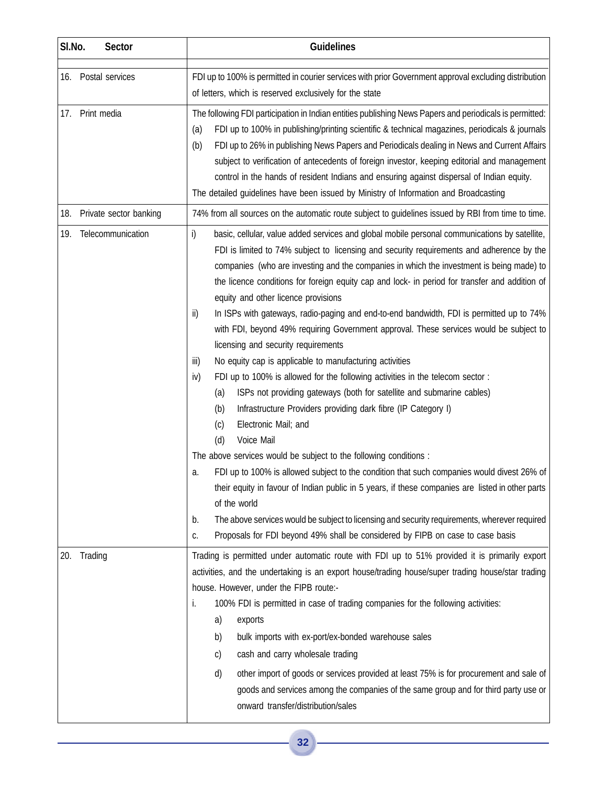| SI.No.<br><b>Sector</b>       | <b>Guidelines</b>                                                                                                                                                                                                                                                                                                                                                                                                                                                                                                                                                                                                                                                                                                                                                                                                                                                                                                                                                                                                                                                                                                                                                                                                                                                                                                                                                                                                                                                                                                                            |
|-------------------------------|----------------------------------------------------------------------------------------------------------------------------------------------------------------------------------------------------------------------------------------------------------------------------------------------------------------------------------------------------------------------------------------------------------------------------------------------------------------------------------------------------------------------------------------------------------------------------------------------------------------------------------------------------------------------------------------------------------------------------------------------------------------------------------------------------------------------------------------------------------------------------------------------------------------------------------------------------------------------------------------------------------------------------------------------------------------------------------------------------------------------------------------------------------------------------------------------------------------------------------------------------------------------------------------------------------------------------------------------------------------------------------------------------------------------------------------------------------------------------------------------------------------------------------------------|
| 16. Postal services           | FDI up to 100% is permitted in courier services with prior Government approval excluding distribution<br>of letters, which is reserved exclusively for the state                                                                                                                                                                                                                                                                                                                                                                                                                                                                                                                                                                                                                                                                                                                                                                                                                                                                                                                                                                                                                                                                                                                                                                                                                                                                                                                                                                             |
| Print media<br>17.            | The following FDI participation in Indian entities publishing News Papers and periodicals is permitted:<br>FDI up to 100% in publishing/printing scientific & technical magazines, periodicals & journals<br>(a)<br>FDI up to 26% in publishing News Papers and Periodicals dealing in News and Current Affairs<br>(b)<br>subject to verification of antecedents of foreign investor, keeping editorial and management<br>control in the hands of resident Indians and ensuring against dispersal of Indian equity.<br>The detailed guidelines have been issued by Ministry of Information and Broadcasting                                                                                                                                                                                                                                                                                                                                                                                                                                                                                                                                                                                                                                                                                                                                                                                                                                                                                                                                  |
| Private sector banking<br>18. | 74% from all sources on the automatic route subject to guidelines issued by RBI from time to time.                                                                                                                                                                                                                                                                                                                                                                                                                                                                                                                                                                                                                                                                                                                                                                                                                                                                                                                                                                                                                                                                                                                                                                                                                                                                                                                                                                                                                                           |
| Telecommunication<br>19.      | basic, cellular, value added services and global mobile personal communications by satellite,<br>i)<br>FDI is limited to 74% subject to licensing and security requirements and adherence by the<br>companies (who are investing and the companies in which the investment is being made) to<br>the licence conditions for foreign equity cap and lock- in period for transfer and addition of<br>equity and other licence provisions<br>In ISPs with gateways, radio-paging and end-to-end bandwidth, FDI is permitted up to 74%<br>ii)<br>with FDI, beyond 49% requiring Government approval. These services would be subject to<br>licensing and security requirements<br>No equity cap is applicable to manufacturing activities<br>iii)<br>FDI up to 100% is allowed for the following activities in the telecom sector:<br>iv)<br>ISPs not providing gateways (both for satellite and submarine cables)<br>(a)<br>Infrastructure Providers providing dark fibre (IP Category I)<br>(b)<br>Electronic Mail; and<br>(c)<br>Voice Mail<br>(d)<br>The above services would be subject to the following conditions :<br>FDI up to 100% is allowed subject to the condition that such companies would divest 26% of<br>a.<br>their equity in favour of Indian public in 5 years, if these companies are listed in other parts<br>of the world<br>The above services would be subject to licensing and security requirements, wherever required<br>b.<br>Proposals for FDI beyond 49% shall be considered by FIPB on case to case basis<br>C. |
| Trading<br>20.                | Trading is permitted under automatic route with FDI up to 51% provided it is primarily export<br>activities, and the undertaking is an export house/trading house/super trading house/star trading<br>house. However, under the FIPB route:-<br>100% FDI is permitted in case of trading companies for the following activities:<br>i.                                                                                                                                                                                                                                                                                                                                                                                                                                                                                                                                                                                                                                                                                                                                                                                                                                                                                                                                                                                                                                                                                                                                                                                                       |
|                               | a)<br>exports<br>bulk imports with ex-port/ex-bonded warehouse sales<br>b)<br>cash and carry wholesale trading<br>c)<br>other import of goods or services provided at least 75% is for procurement and sale of<br>d)<br>goods and services among the companies of the same group and for third party use or<br>onward transfer/distribution/sales                                                                                                                                                                                                                                                                                                                                                                                                                                                                                                                                                                                                                                                                                                                                                                                                                                                                                                                                                                                                                                                                                                                                                                                            |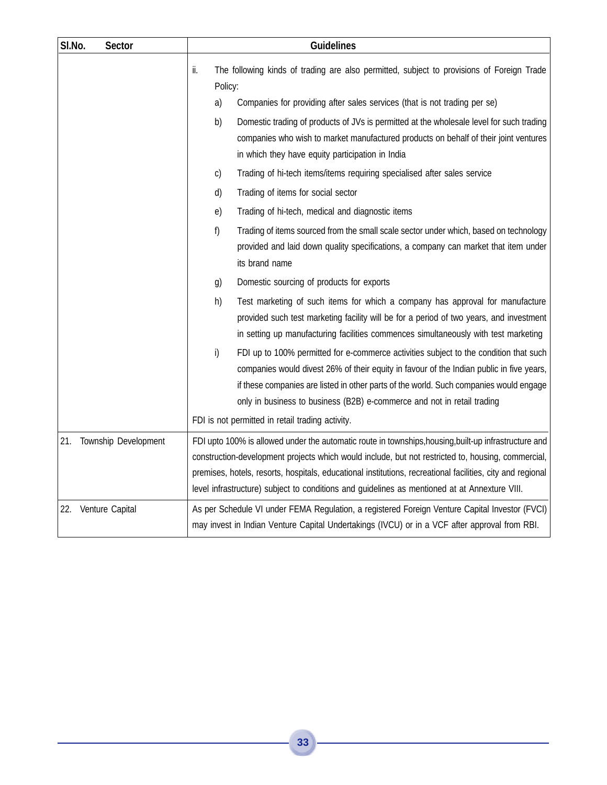| SI.No.<br><b>Sector</b>     | <b>Guidelines</b>                                                                                                                                                                                                                                                                                                                                                                                                          |  |  |
|-----------------------------|----------------------------------------------------------------------------------------------------------------------------------------------------------------------------------------------------------------------------------------------------------------------------------------------------------------------------------------------------------------------------------------------------------------------------|--|--|
|                             | The following kinds of trading are also permitted, subject to provisions of Foreign Trade<br>ii.<br>Policy:                                                                                                                                                                                                                                                                                                                |  |  |
|                             | a)<br>Companies for providing after sales services (that is not trading per se)                                                                                                                                                                                                                                                                                                                                            |  |  |
|                             | b)<br>Domestic trading of products of JVs is permitted at the wholesale level for such trading<br>companies who wish to market manufactured products on behalf of their joint ventures<br>in which they have equity participation in India                                                                                                                                                                                 |  |  |
|                             | Trading of hi-tech items/items requiring specialised after sales service<br>c)                                                                                                                                                                                                                                                                                                                                             |  |  |
|                             | Trading of items for social sector<br>d)                                                                                                                                                                                                                                                                                                                                                                                   |  |  |
|                             | Trading of hi-tech, medical and diagnostic items<br>e)                                                                                                                                                                                                                                                                                                                                                                     |  |  |
|                             | Trading of items sourced from the small scale sector under which, based on technology<br>f)<br>provided and laid down quality specifications, a company can market that item under<br>its brand name                                                                                                                                                                                                                       |  |  |
|                             | Domestic sourcing of products for exports<br>g)                                                                                                                                                                                                                                                                                                                                                                            |  |  |
|                             | h)<br>Test marketing of such items for which a company has approval for manufacture<br>provided such test marketing facility will be for a period of two years, and investment<br>in setting up manufacturing facilities commences simultaneously with test marketing                                                                                                                                                      |  |  |
|                             | i)<br>FDI up to 100% permitted for e-commerce activities subject to the condition that such<br>companies would divest 26% of their equity in favour of the Indian public in five years,<br>if these companies are listed in other parts of the world. Such companies would engage<br>only in business to business (B2B) e-commerce and not in retail trading                                                               |  |  |
|                             | FDI is not permitted in retail trading activity.                                                                                                                                                                                                                                                                                                                                                                           |  |  |
| Township Development<br>21. | FDI upto 100% is allowed under the automatic route in townships, housing, built-up infrastructure and<br>construction-development projects which would include, but not restricted to, housing, commercial,<br>premises, hotels, resorts, hospitals, educational institutions, recreational facilities, city and regional<br>level infrastructure) subject to conditions and guidelines as mentioned at at Annexture VIII. |  |  |
| Venture Capital<br>22.      | As per Schedule VI under FEMA Regulation, a registered Foreign Venture Capital Investor (FVCI)<br>may invest in Indian Venture Capital Undertakings (IVCU) or in a VCF after approval from RBI.                                                                                                                                                                                                                            |  |  |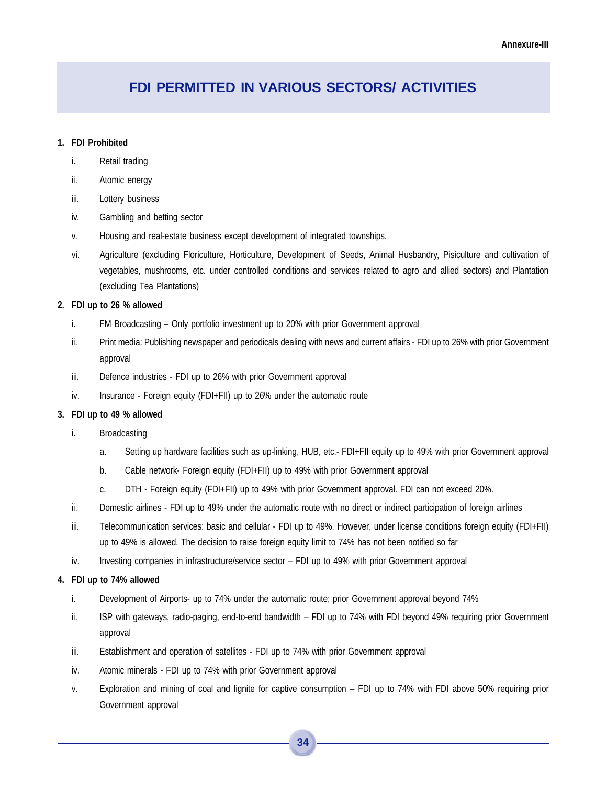### **FDI PERMITTED IN VARIOUS SECTORS/ ACTIVITIES**

### **1. FDI Prohibited**

- i. Retail trading
- ii. Atomic energy
- iii. Lottery business
- iv. Gambling and betting sector
- v. Housing and real-estate business except development of integrated townships.
- vi. Agriculture (excluding Floriculture, Horticulture, Development of Seeds, Animal Husbandry, Pisiculture and cultivation of vegetables, mushrooms, etc. under controlled conditions and services related to agro and allied sectors) and Plantation (excluding Tea Plantations)

### **2. FDI up to 26 % allowed**

- i. FM Broadcasting Only portfolio investment up to 20% with prior Government approval
- ii. Print media: Publishing newspaper and periodicals dealing with news and current affairs FDI up to 26% with prior Government approval
- iii. Defence industries FDI up to 26% with prior Government approval
- iv. Insurance Foreign equity (FDI+FII) up to 26% under the automatic route

### **3. FDI up to 49 % allowed**

- i. Broadcasting
	- a. Setting up hardware facilities such as up-linking, HUB, etc.- FDI+FII equity up to 49% with prior Government approval
	- b. Cable network- Foreign equity (FDI+FII) up to 49% with prior Government approval
	- c. DTH Foreign equity (FDI+FII) up to 49% with prior Government approval. FDI can not exceed 20%.
- ii. Domestic airlines FDI up to 49% under the automatic route with no direct or indirect participation of foreign airlines
- iii. Telecommunication services: basic and cellular FDI up to 49%. However, under license conditions foreign equity (FDI+FII) up to 49% is allowed. The decision to raise foreign equity limit to 74% has not been notified so far
- iv. Investing companies in infrastructure/service sector FDI up to 49% with prior Government approval

### **4. FDI up to 74% allowed**

- i. Development of Airports- up to 74% under the automatic route; prior Government approval beyond 74%
- ii. ISP with gateways, radio-paging, end-to-end bandwidth FDI up to 74% with FDI beyond 49% requiring prior Government approval
- iii. Establishment and operation of satellites FDI up to 74% with prior Government approval
- iv. Atomic minerals FDI up to 74% with prior Government approval
- v. Exploration and mining of coal and lignite for captive consumption FDI up to 74% with FDI above 50% requiring prior Government approval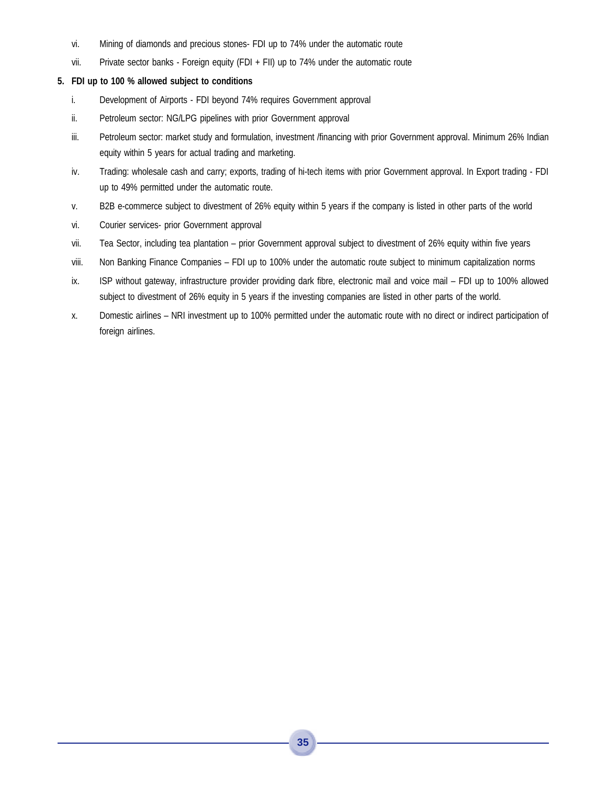- vi. Mining of diamonds and precious stones- FDI up to 74% under the automatic route
- vii. Private sector banks Foreign equity (FDI + FII) up to 74% under the automatic route

### **5. FDI up to 100 % allowed subject to conditions**

- i. Development of Airports FDI beyond 74% requires Government approval
- ii. Petroleum sector: NG/LPG pipelines with prior Government approval
- iii. Petroleum sector: market study and formulation, investment /financing with prior Government approval. Minimum 26% Indian equity within 5 years for actual trading and marketing.
- iv. Trading: wholesale cash and carry; exports, trading of hi-tech items with prior Government approval. In Export trading FDI up to 49% permitted under the automatic route.
- v. B2B e-commerce subject to divestment of 26% equity within 5 years if the company is listed in other parts of the world
- vi. Courier services- prior Government approval
- vii. Tea Sector, including tea plantation prior Government approval subject to divestment of 26% equity within five years
- viii. Non Banking Finance Companies FDI up to 100% under the automatic route subject to minimum capitalization norms
- ix. ISP without gateway, infrastructure provider providing dark fibre, electronic mail and voice mail FDI up to 100% allowed subject to divestment of 26% equity in 5 years if the investing companies are listed in other parts of the world.
- x. Domestic airlines NRI investment up to 100% permitted under the automatic route with no direct or indirect participation of foreign airlines.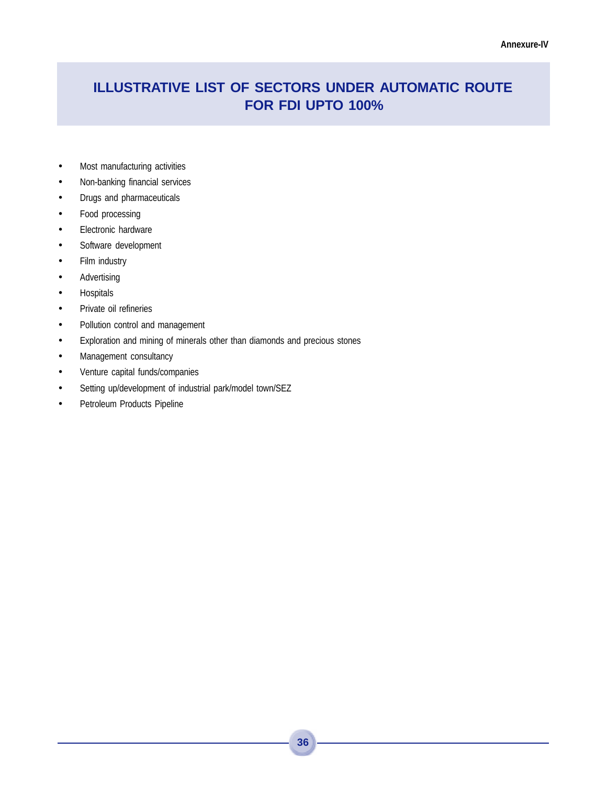### **ILLUSTRATIVE LIST OF SECTORS UNDER AUTOMATIC ROUTE FOR FDI UPTO 100%**

- Most manufacturing activities
- Non-banking financial services
- Drugs and pharmaceuticals
- Food processing
- Electronic hardware
- Software development
- Film industry
- Advertising
- Hospitals
- Private oil refineries
- Pollution control and management
- Exploration and mining of minerals other than diamonds and precious stones
- Management consultancy
- Venture capital funds/companies
- Setting up/development of industrial park/model town/SEZ
- Petroleum Products Pipeline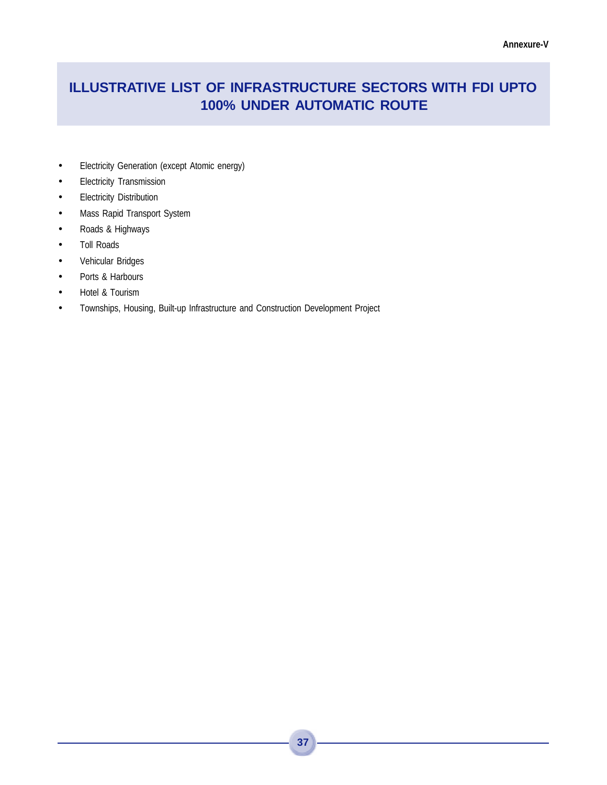### **ILLUSTRATIVE LIST OF INFRASTRUCTURE SECTORS WITH FDI UPTO 100% UNDER AUTOMATIC ROUTE**

- Electricity Generation (except Atomic energy)
- Electricity Transmission
- Electricity Distribution
- Mass Rapid Transport System
- Roads & Highways
- Toll Roads
- Vehicular Bridges
- Ports & Harbours
- Hotel & Tourism
- Townships, Housing, Built-up Infrastructure and Construction Development Project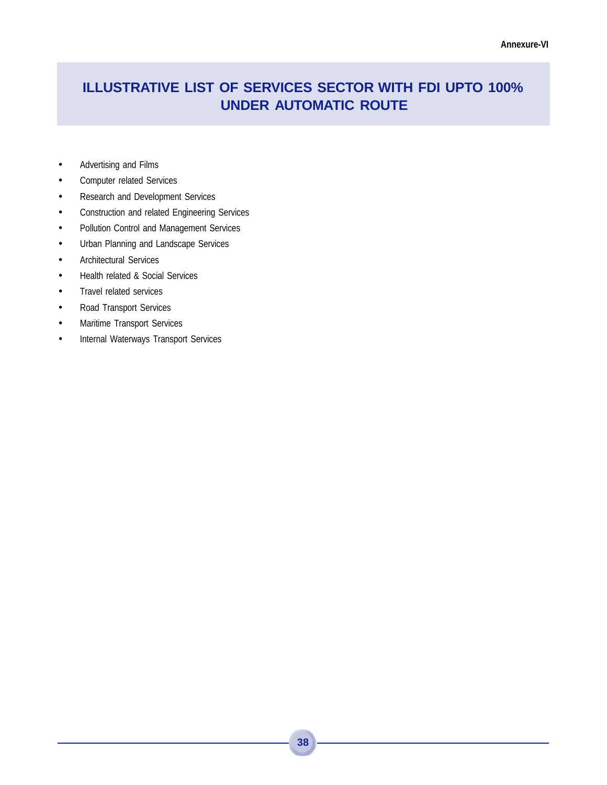### **ILLUSTRATIVE LIST OF SERVICES SECTOR WITH FDI UPTO 100% UNDER AUTOMATIC ROUTE**

- Advertising and Films
- Computer related Services
- Research and Development Services
- Construction and related Engineering Services
- Pollution Control and Management Services
- Urban Planning and Landscape Services
- Architectural Services
- Health related & Social Services
- Travel related services
- Road Transport Services
- Maritime Transport Services
- Internal Waterways Transport Services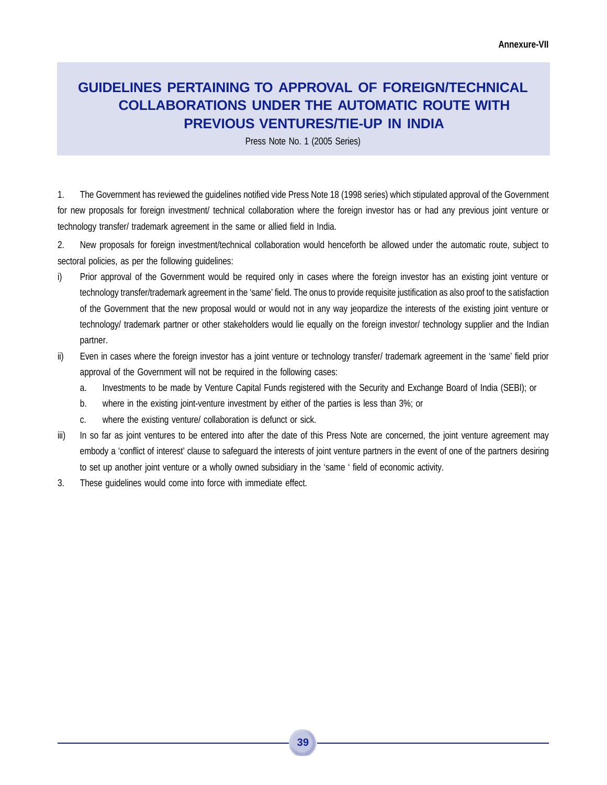### **GUIDELINES PERTAINING TO APPROVAL OF FOREIGN/TECHNICAL COLLABORATIONS UNDER THE AUTOMATIC ROUTE WITH PREVIOUS VENTURES/TIE-UP IN INDIA**

Press Note No. 1 (2005 Series)

1. The Government has reviewed the guidelines notified vide Press Note 18 (1998 series) which stipulated approval of the Government for new proposals for foreign investment/ technical collaboration where the foreign investor has or had any previous joint venture or technology transfer/ trademark agreement in the same or allied field in India.

2. New proposals for foreign investment/technical collaboration would henceforth be allowed under the automatic route, subject to sectoral policies, as per the following guidelines:

- i) Prior approval of the Government would be required only in cases where the foreign investor has an existing joint venture or technology transfer/trademark agreement in the 'same' field. The onus to provide requisite justification as also proof to the satisfaction of the Government that the new proposal would or would not in any way jeopardize the interests of the existing joint venture or technology/ trademark partner or other stakeholders would lie equally on the foreign investor/ technology supplier and the Indian partner.
- ii) Even in cases where the foreign investor has a joint venture or technology transfer/ trademark agreement in the 'same' field prior approval of the Government will not be required in the following cases:
	- a. Investments to be made by Venture Capital Funds registered with the Security and Exchange Board of India (SEBI); or
	- b. where in the existing joint-venture investment by either of the parties is less than 3%; or
	- c. where the existing venture/ collaboration is defunct or sick.
- iii) In so far as joint ventures to be entered into after the date of this Press Note are concerned, the joint venture agreement may embody a 'conflict of interest' clause to safeguard the interests of joint venture partners in the event of one of the partners desiring to set up another joint venture or a wholly owned subsidiary in the 'same ' field of economic activity.
- 3. These guidelines would come into force with immediate effect.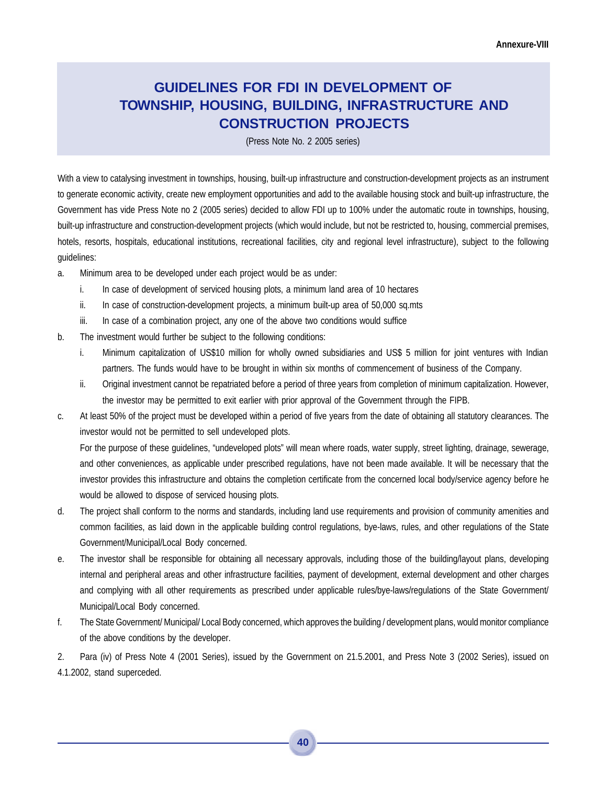### **GUIDELINES FOR FDI IN DEVELOPMENT OF TOWNSHIP, HOUSING, BUILDING, INFRASTRUCTURE AND CONSTRUCTION PROJECTS**

(Press Note No. 2 2005 series)

With a view to catalysing investment in townships, housing, built-up infrastructure and construction-development projects as an instrument to generate economic activity, create new employment opportunities and add to the available housing stock and built-up infrastructure, the Government has vide Press Note no 2 (2005 series) decided to allow FDI up to 100% under the automatic route in townships, housing, built-up infrastructure and construction-development projects (which would include, but not be restricted to, housing, commercial premises, hotels, resorts, hospitals, educational institutions, recreational facilities, city and regional level infrastructure), subject to the following guidelines:

- a. Minimum area to be developed under each project would be as under:
	- i. In case of development of serviced housing plots, a minimum land area of 10 hectares
	- ii. In case of construction-development projects, a minimum built-up area of 50,000 sq.mts
	- iii. In case of a combination project, any one of the above two conditions would suffice
- b. The investment would further be subject to the following conditions:
	- i. Minimum capitalization of US\$10 million for wholly owned subsidiaries and US\$ 5 million for joint ventures with Indian partners. The funds would have to be brought in within six months of commencement of business of the Company.
	- ii. Original investment cannot be repatriated before a period of three years from completion of minimum capitalization. However, the investor may be permitted to exit earlier with prior approval of the Government through the FIPB.
- c. At least 50% of the project must be developed within a period of five years from the date of obtaining all statutory clearances. The investor would not be permitted to sell undeveloped plots.

For the purpose of these guidelines, "undeveloped plots" will mean where roads, water supply, street lighting, drainage, sewerage, and other conveniences, as applicable under prescribed regulations, have not been made available. It will be necessary that the investor provides this infrastructure and obtains the completion certificate from the concerned local body/service agency before he would be allowed to dispose of serviced housing plots.

- d. The project shall conform to the norms and standards, including land use requirements and provision of community amenities and common facilities, as laid down in the applicable building control regulations, bye-laws, rules, and other regulations of the State Government/Municipal/Local Body concerned.
- e. The investor shall be responsible for obtaining all necessary approvals, including those of the building/layout plans, developing internal and peripheral areas and other infrastructure facilities, payment of development, external development and other charges and complying with all other requirements as prescribed under applicable rules/bye-laws/regulations of the State Government/ Municipal/Local Body concerned.
- f. The State Government/ Municipal/ Local Body concerned, which approves the building / development plans, would monitor compliance of the above conditions by the developer.

2. Para (iv) of Press Note 4 (2001 Series), issued by the Government on 21.5.2001, and Press Note 3 (2002 Series), issued on 4.1.2002, stand superceded.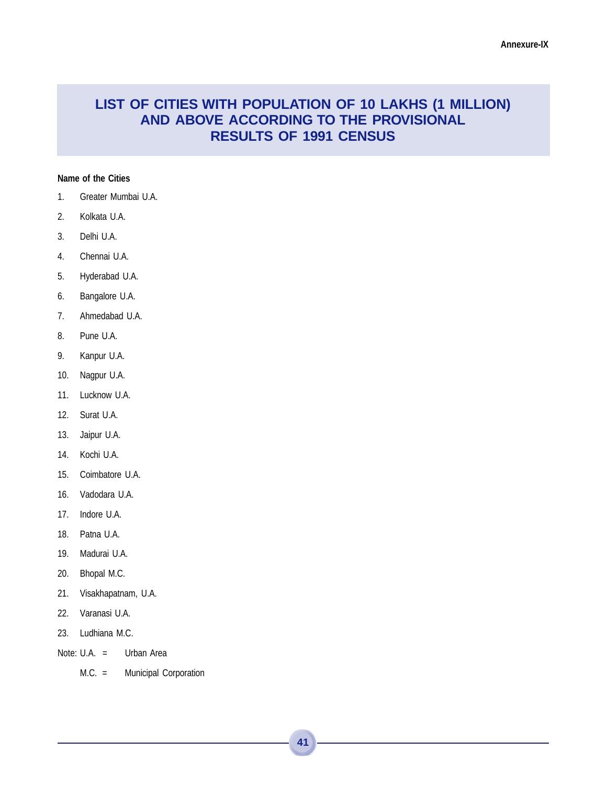### **LIST OF CITIES WITH POPULATION OF 10 LAKHS (1 MILLION) AND ABOVE ACCORDING TO THE PROVISIONAL RESULTS OF 1991 CENSUS**

### **Name of the Cities**

- 1. Greater Mumbai U.A.
- 2. Kolkata U.A.
- 3. Delhi U.A.
- 4. Chennai U.A.
- 5. Hyderabad U.A.
- 6. Bangalore U.A.
- 7. Ahmedabad U.A.
- 8. Pune U.A.
- 9. Kanpur U.A.
- 10. Nagpur U.A.
- 11. Lucknow U.A.
- 12. Surat U.A.
- 13. Jaipur U.A.
- 14. Kochi U.A.
- 15. Coimbatore U.A.
- 16. Vadodara U.A.
- 17. Indore U.A.
- 18. Patna U.A.
- 19. Madurai U.A.
- 20. Bhopal M.C.
- 21. Visakhapatnam, U.A.
- 22. Varanasi U.A.
- 23. Ludhiana M.C.
- Note: U.A. = Urban Area
	- M.C. = Municipal Corporation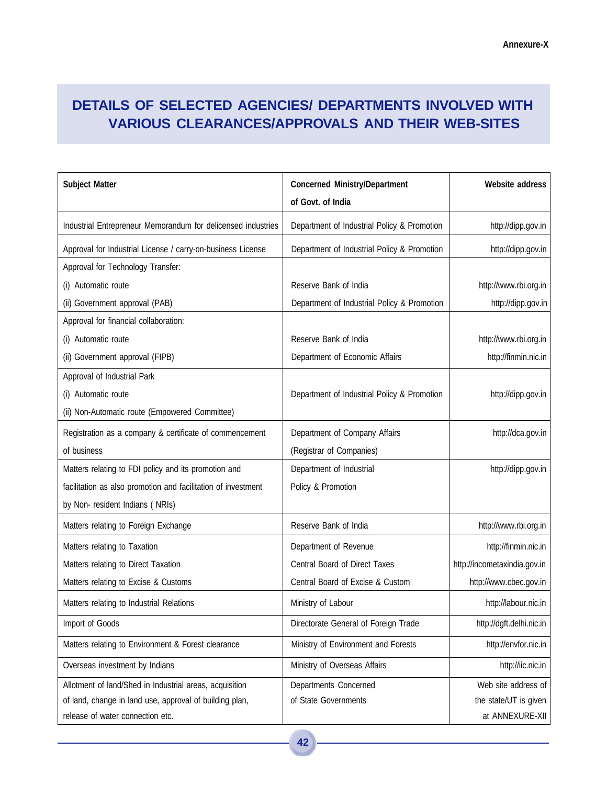### **DETAILS OF SELECTED AGENCIES/ DEPARTMENTS INVOLVED WITH VARIOUS CLEARANCES/APPROVALS AND THEIR WEB-SITES**

| <b>Subject Matter</b>                                         | <b>Concerned Ministry/Department</b>        | <b>Website address</b>       |
|---------------------------------------------------------------|---------------------------------------------|------------------------------|
|                                                               | of Govt. of India                           |                              |
| Industrial Entrepreneur Memorandum for delicensed industries  | Department of Industrial Policy & Promotion | http://dipp.gov.in           |
| Approval for Industrial License / carry-on-business License   | Department of Industrial Policy & Promotion | http://dipp.gov.in           |
| Approval for Technology Transfer:                             |                                             |                              |
| (i) Automatic route                                           | Reserve Bank of India                       | http://www.rbi.org.in        |
| (ii) Government approval (PAB)                                | Department of Industrial Policy & Promotion | http://dipp.gov.in           |
| Approval for financial collaboration:                         |                                             |                              |
| (i) Automatic route                                           | Reserve Bank of India                       | http://www.rbi.org.in        |
| (ii) Government approval (FIPB)                               | Department of Economic Affairs              | http://finmin.nic.in         |
| Approval of Industrial Park                                   |                                             |                              |
| (i) Automatic route                                           | Department of Industrial Policy & Promotion | http://dipp.gov.in           |
| (ii) Non-Automatic route (Empowered Committee)                |                                             |                              |
| Registration as a company & certificate of commencement       | Department of Company Affairs               | http://dca.gov.in            |
| of business                                                   | (Registrar of Companies)                    |                              |
| Matters relating to FDI policy and its promotion and          | Department of Industrial                    | http://dipp.gov.in           |
| facilitation as also promotion and facilitation of investment | Policy & Promotion                          |                              |
| by Non-resident Indians (NRIs)                                |                                             |                              |
| Matters relating to Foreign Exchange                          | Reserve Bank of India                       | http://www.rbi.org.in        |
| Matters relating to Taxation                                  | Department of Revenue                       | http://finmin.nic.in         |
| Matters relating to Direct Taxation                           | Central Board of Direct Taxes               | http://incometaxindia.gov.in |
| Matters relating to Excise & Customs                          | Central Board of Excise & Custom            | http://www.cbec.gov.in       |
| Matters relating to Industrial Relations                      | Ministry of Labour                          | http://labour.nic.in         |
| Import of Goods                                               | Directorate General of Foreign Trade        | http://dgft.delhi.nic.in     |
| Matters relating to Environment & Forest clearance            | Ministry of Environment and Forests         | http://envfor.nic.in         |
| Overseas investment by Indians                                | Ministry of Overseas Affairs                | http://iic.nic.in            |
| Allotment of land/Shed in Industrial areas, acquisition       | Departments Concerned                       | Web site address of          |
| of land, change in land use, approval of building plan,       | of State Governments                        | the state/UT is given        |
| release of water connection etc.                              |                                             | at ANNEXURE-XII              |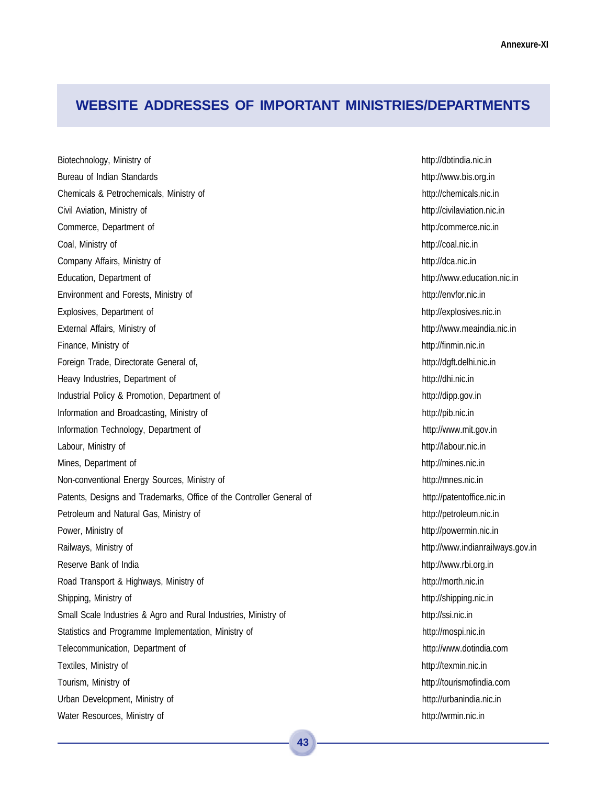### **WEBSITE ADDRESSES OF IMPORTANT MINISTRIES/DEPARTMENTS**

Biotechnology, Ministry of http://dbtindia.nic.in Bureau of Indian Standards http://www.bis.org.in Chemicals & Petrochemicals, Ministry of http://chemicals.nic.in Civil Aviation, Ministry of http://civilaviation.nic.in Commerce, Department of  $h$ ttp:/commerce.nic.in Coal, Ministry of http://coal.nic.in Company Affairs, Ministry of http://dca.nic.in Education, Department of http://www.education.nic.in Environment and Forests, Ministry of http://envfor.nic.in Explosives, Department of http://explosives.nic.in External Affairs, Ministry of http://www.meaindia.nic.in Finance, Ministry of http://finmin.nic.in Foreign Trade, Directorate General of, http://dgft.delhi.nic.in Heavy Industries, Department of http://dhi.nic.in Industrial Policy & Promotion, Department of http://dipp.gov.in Information and Broadcasting, Ministry of http://pib.nic.in Information Technology, Department of http://www.mit.gov.in Labour, Ministry of http://labour.nic.in Mines, Department of http://mines.nic.in Non-conventional Energy Sources, Ministry of http://mnes.nic.in Patents, Designs and Trademarks, Office of the Controller General of http://patentoffice.nic.in Petroleum and Natural Gas, Ministry of http://petroleum.nic.in Power, Ministry of http://powermin.nic.in Railways, Ministry of http://www.indianrailways.gov.in Reserve Bank of India http://www.rbi.org.in Road Transport & Highways, Ministry of http://morth.nic.in Shipping, Ministry of http://shipping.nic.in Small Scale Industries & Agro and Rural Industries, Ministry of http://ssi.nic.inic.inic.in Statistics and Programme Implementation, Ministry of http://mospi.nic.in Telecommunication, Department of the http://www.dotindia.com Textiles, Ministry of http://texmin.nic.in Tourism, Ministry of http://tourismofindia.com Urban Development, Ministry of http://urbanindia.nic.in Water Resources, Ministry of the http://wrmin.nic.in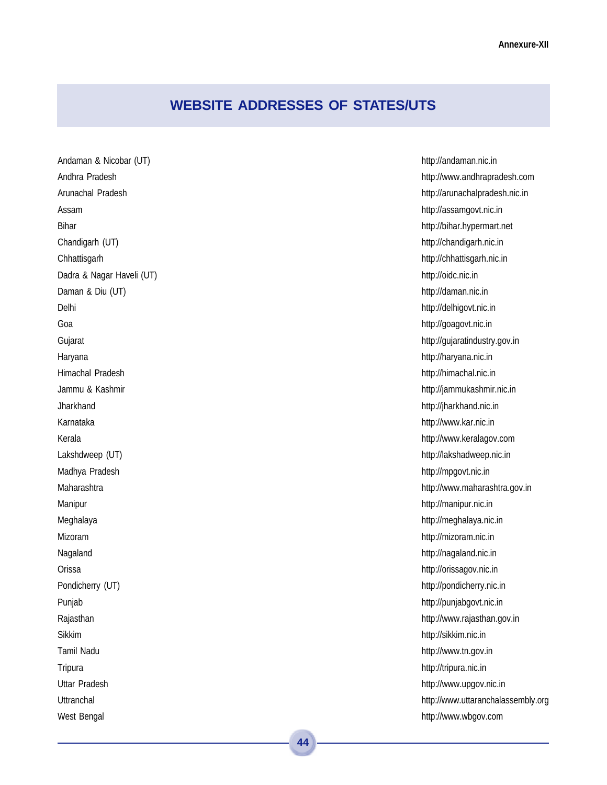### **WEBSITE ADDRESSES OF STATES/UTS**

Andaman & Nicobar (UT) and a structure of the structure of the structure of the structure of the structure of the structure of the structure of the structure of the structure of the structure of the structure of the struct Assam http://assamgovt.nic.in Chandigarh (UT) http://chandigarh.nic.in Dadra & Nagar Haveli (UT) http://oidc.nic.in Daman & Diu (UT) http://daman.nic.in Delhi http://delhigovt.nic.in Goa http://goagovt.nic.in Haryana http://haryana.nic.in Himachal Pradesh http://himachal.nic.in Jharkhand http://jharkhand.nic.in Karnataka http://www.kar.nic.in Madhya Pradesh **http://mpgovt.nic.in** Manipur http://manipur.nic.in Meghalaya http://meghalaya.nic.in Mizoram http://mizoram.nic.in Nagaland http://nagaland.nic.in Orissa http://orissagov.nic.in Punjab http://punjabgovt.nic.in Sikkim http://sikkim.nic.in Tamil Nadu http://www.tn.gov.in Tripura http://tripura.nic.in Uttar Pradesh http://www.upgov.nic.in

Andhra Pradesh http://www.andhrapradesh.com Arunachal Pradesh http://arunachalpradesh.nic.in Bihar http://bihar.hypermart.net Chhattisgarh http://chhattisgarh.nic.in Gujarat http://gujaratindustry.gov.in Jammu & Kashmir http://jammukashmir.nic.in Kerala http://www.keralagov.com Lakshdweep (UT) http://lakshadweep.nic.in Maharashtra **http://www.maharashtra.gov.in** Pondicherry (UT) and the contract of the contract of the contract of the contract of the contract of the contract of the contract of the contract of the contract of the contract of the contract of the contract of the contr Rajasthan http://www.rajasthan.gov.in Uttranchal http://www.uttaranchalassembly.org West Bengal http://www.wbgov.com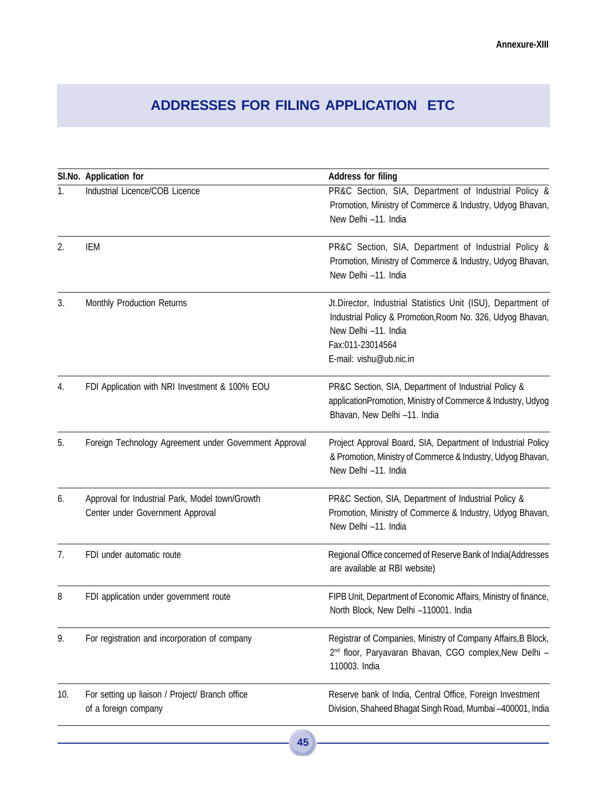### **ADDRESSES FOR FILING APPLICATION ETC**

|     | SI.No. Application for                                                              | <b>Address for filing</b>                                                                                                                                                                         |
|-----|-------------------------------------------------------------------------------------|---------------------------------------------------------------------------------------------------------------------------------------------------------------------------------------------------|
| 1.  | Industrial Licence/COB Licence                                                      | PR&C Section, SIA, Department of Industrial Policy &<br>Promotion, Ministry of Commerce & Industry, Udyog Bhavan,<br>New Delhi -11. India                                                         |
| 2.  | <b>IEM</b>                                                                          | PR&C Section, SIA, Department of Industrial Policy &<br>Promotion, Ministry of Commerce & Industry, Udyog Bhavan,<br>New Delhi -11. India                                                         |
| 3.  | Monthly Production Returns                                                          | Jt.Director, Industrial Statistics Unit (ISU), Department of<br>Industrial Policy & Promotion, Room No. 326, Udyog Bhavan,<br>New Delhi -11. India<br>Fax:011-23014564<br>E-mail: vishu@ub.nic.in |
| 4.  | FDI Application with NRI Investment & 100% EOU                                      | PR&C Section, SIA, Department of Industrial Policy &<br>applicationPromotion, Ministry of Commerce & Industry, Udyog<br>Bhavan, New Delhi -11. India                                              |
| 5.  | Foreign Technology Agreement under Government Approval                              | Project Approval Board, SIA, Department of Industrial Policy<br>& Promotion, Ministry of Commerce & Industry, Udyog Bhavan,<br>New Delhi -11. India                                               |
| 6.  | Approval for Industrial Park, Model town/Growth<br>Center under Government Approval | PR&C Section, SIA, Department of Industrial Policy &<br>Promotion, Ministry of Commerce & Industry, Udyog Bhavan,<br>New Delhi -11. India                                                         |
| 7.  | FDI under automatic route                                                           | Regional Office concerned of Reserve Bank of India(Addresses<br>are available at RBI website)                                                                                                     |
| 8   | FDI application under government route                                              | FIPB Unit, Department of Economic Affairs, Ministry of finance,<br>North Block, New Delhi -110001. India                                                                                          |
| 9.  | For registration and incorporation of company                                       | Registrar of Companies, Ministry of Company Affairs, B Block,<br>2 <sup>nd</sup> floor, Paryavaran Bhavan, CGO complex, New Delhi -<br>110003. India                                              |
| 10. | For setting up liaison / Project/ Branch office<br>of a foreign company             | Reserve bank of India, Central Office, Foreign Investment<br>Division, Shaheed Bhagat Singh Road, Mumbai -400001, India                                                                           |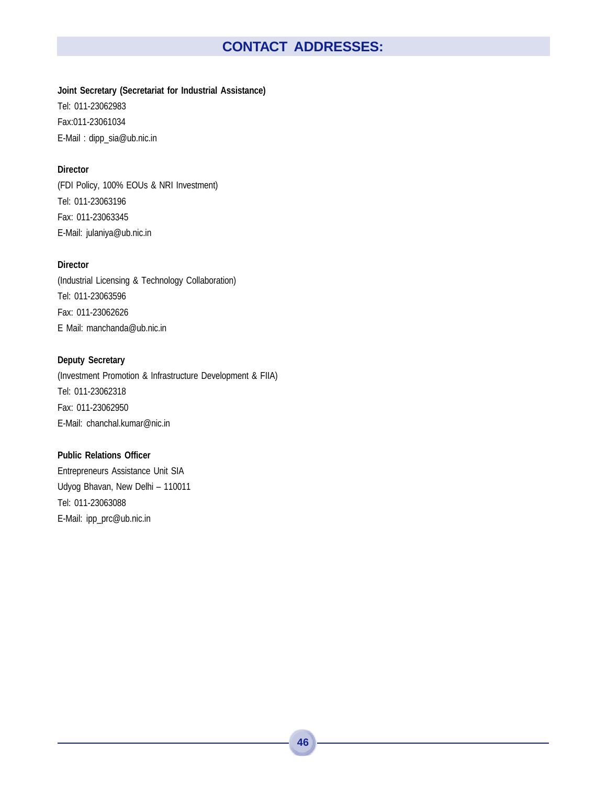### **CONTACT ADDRESSES:**

**Joint Secretary (Secretariat for Industrial Assistance)** Tel: 011-23062983 Fax:011-23061034 E-Mail : dipp\_sia@ub.nic.in

### **Director**

(FDI Policy, 100% EOUs & NRI Investment) Tel: 011-23063196 Fax: 011-23063345 E-Mail: julaniya@ub.nic.in

#### **Director**

(Industrial Licensing & Technology Collaboration) Tel: 011-23063596 Fax: 011-23062626 E Mail: manchanda@ub.nic.in

### **Deputy Secretary**

(Investment Promotion & Infrastructure Development & FIIA) Tel: 011-23062318 Fax: 011-23062950 E-Mail: chanchal.kumar@nic.in

### **Public Relations Officer**

Entrepreneurs Assistance Unit SIA Udyog Bhavan, New Delhi – 110011 Tel: 011-23063088 E-Mail: ipp\_prc@ub.nic.in